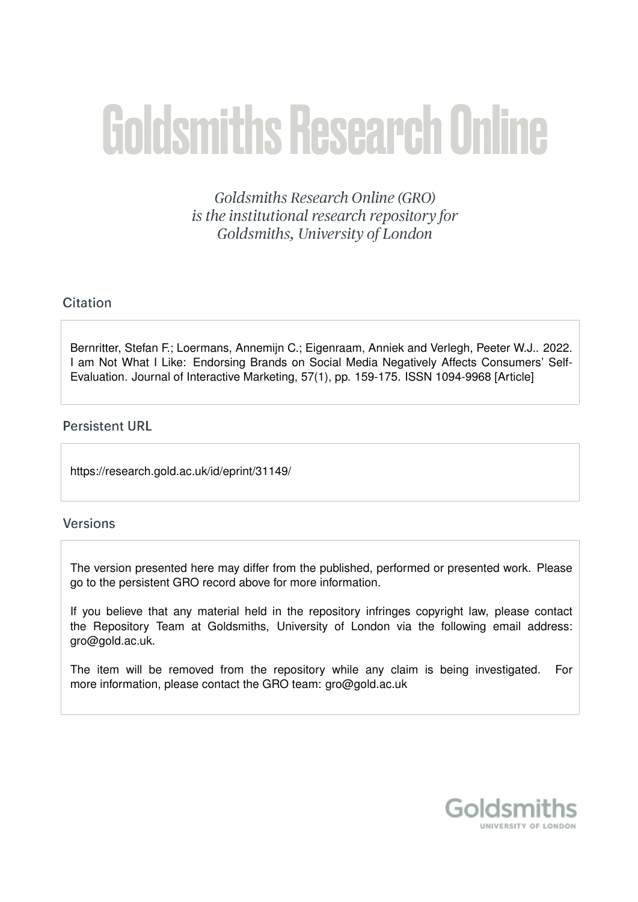# **Goldsmiths Research Online**

Goldsmiths Research Online (GRO) is the institutional research repository for Goldsmiths, University of London

# Citation

Bernritter, Stefan F.; Loermans, Annemiin C.; Eigenraam, Anniek and Verlegh, Peeter W.J., 2022. I am Not What I Like: Endorsing Brands on Social Media Negatively Affects Consumers' Self-Evaluation. Journal of Interactive Marketing, 57(1), pp. 159-175. ISSN 1094-9968 [Article]

# **Persistent URL**

https://research.gold.ac.uk/id/eprint/31149/

# **Versions**

The version presented here may differ from the published, performed or presented work. Please go to the persistent GRO record above for more information.

If you believe that any material held in the repository infringes copyright law, please contact the Repository Team at Goldsmiths, University of London via the following email address: gro@gold.ac.uk.

The item will be removed from the repository while any claim is being investigated. For more information, please contact the GRO team: gro@gold.ac.uk

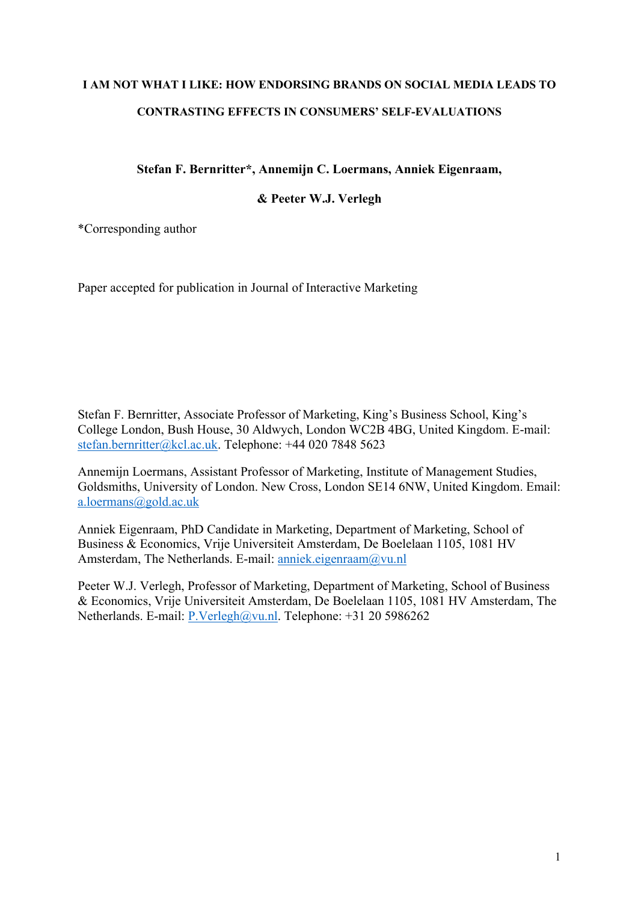# **I AM NOT WHAT I LIKE: HOW ENDORSING BRANDS ON SOCIAL MEDIA LEADS TO CONTRASTING EFFECTS IN CONSUMERS' SELF-EVALUATIONS**

**Stefan F. Bernritter\*, Annemijn C. Loermans, Anniek Eigenraam,** 

**& Peeter W.J. Verlegh**

\*Corresponding author

Paper accepted for publication in Journal of Interactive Marketing

Stefan F. Bernritter, Associate Professor of Marketing, King's Business School, King's College London, Bush House, 30 Aldwych, London WC2B 4BG, United Kingdom. E-mail: stefan.bernritter@kcl.ac.uk. Telephone: +44 020 7848 5623

Annemijn Loermans, Assistant Professor of Marketing, Institute of Management Studies, Goldsmiths, University of London. New Cross, London SE14 6NW, United Kingdom. Email: a.loermans@gold.ac.uk

Anniek Eigenraam, PhD Candidate in Marketing, Department of Marketing, School of Business & Economics, Vrije Universiteit Amsterdam, De Boelelaan 1105, 1081 HV Amsterdam, The Netherlands. E-mail: anniek.eigenraam@vu.nl

Peeter W.J. Verlegh, Professor of Marketing, Department of Marketing, School of Business & Economics, Vrije Universiteit Amsterdam, De Boelelaan 1105, 1081 HV Amsterdam, The Netherlands. E-mail: P.Verlegh@vu.nl. Telephone: +31 20 5986262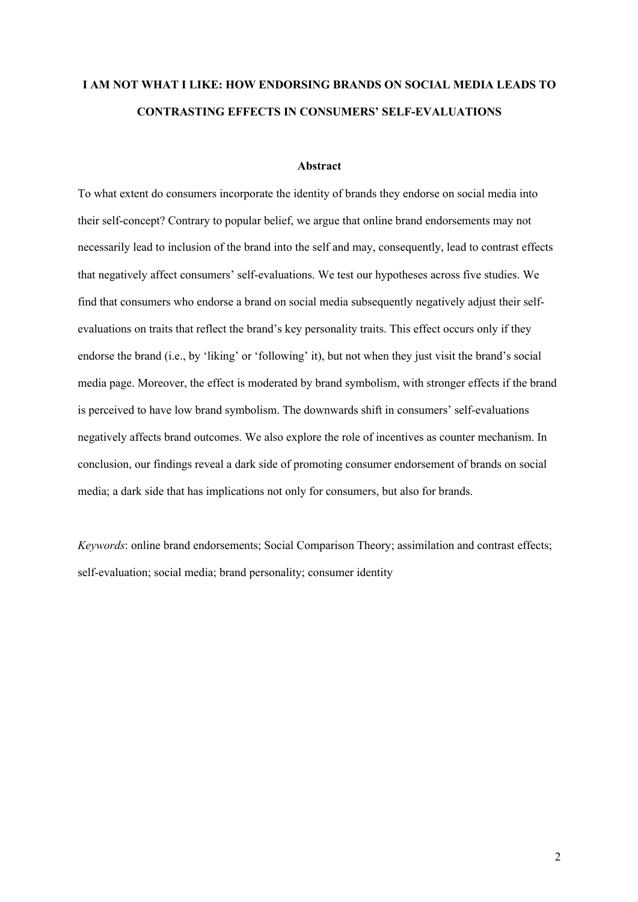# **I AM NOT WHAT I LIKE: HOW ENDORSING BRANDS ON SOCIAL MEDIA LEADS TO CONTRASTING EFFECTS IN CONSUMERS' SELF-EVALUATIONS**

#### **Abstract**

To what extent do consumers incorporate the identity of brands they endorse on social media into their self-concept? Contrary to popular belief, we argue that online brand endorsements may not necessarily lead to inclusion of the brand into the self and may, consequently, lead to contrast effects that negatively affect consumers' self-evaluations. We test our hypotheses across five studies. We find that consumers who endorse a brand on social media subsequently negatively adjust their selfevaluations on traits that reflect the brand's key personality traits. This effect occurs only if they endorse the brand (i.e., by 'liking' or 'following' it), but not when they just visit the brand's social media page. Moreover, the effect is moderated by brand symbolism, with stronger effects if the brand is perceived to have low brand symbolism. The downwards shift in consumers' self-evaluations negatively affects brand outcomes. We also explore the role of incentives as counter mechanism. In conclusion, our findings reveal a dark side of promoting consumer endorsement of brands on social media; a dark side that has implications not only for consumers, but also for brands.

*Keywords*: online brand endorsements; Social Comparison Theory; assimilation and contrast effects; self-evaluation; social media; brand personality; consumer identity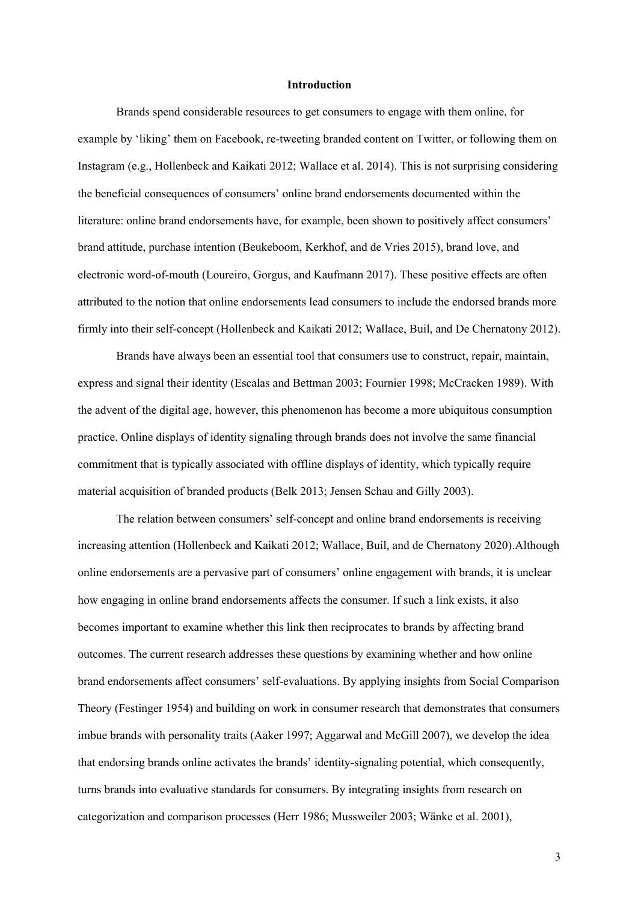#### **Introduction**

Brands spend considerable resources to get consumers to engage with them online, for example by 'liking' them on Facebook, re-tweeting branded content on Twitter, or following them on Instagram (e.g., Hollenbeck and Kaikati 2012; Wallace et al. 2014). This is not surprising considering the beneficial consequences of consumers' online brand endorsements documented within the literature: online brand endorsements have, for example, been shown to positively affect consumers' brand attitude, purchase intention (Beukeboom, Kerkhof, and de Vries 2015), brand love, and electronic word-of-mouth (Loureiro, Gorgus, and Kaufmann 2017). These positive effects are often attributed to the notion that online endorsements lead consumers to include the endorsed brands more firmly into their self-concept (Hollenbeck and Kaikati 2012; Wallace, Buil, and De Chernatony 2012).

Brands have always been an essential tool that consumers use to construct, repair, maintain, express and signal their identity (Escalas and Bettman 2003; Fournier 1998; McCracken 1989). With the advent of the digital age, however, this phenomenon has become a more ubiquitous consumption practice. Online displays of identity signaling through brands does not involve the same financial commitment that is typically associated with offline displays of identity, which typically require material acquisition of branded products (Belk 2013; Jensen Schau and Gilly 2003).

The relation between consumers' self-concept and online brand endorsements is receiving increasing attention (Hollenbeck and Kaikati 2012; Wallace, Buil, and de Chernatony 2020).Although online endorsements are a pervasive part of consumers' online engagement with brands, it is unclear how engaging in online brand endorsements affects the consumer. If such a link exists, it also becomes important to examine whether this link then reciprocates to brands by affecting brand outcomes. The current research addresses these questions by examining whether and how online brand endorsements affect consumers' self-evaluations. By applying insights from Social Comparison Theory (Festinger 1954) and building on work in consumer research that demonstrates that consumers imbue brands with personality traits (Aaker 1997; Aggarwal and McGill 2007), we develop the idea that endorsing brands online activates the brands' identity-signaling potential, which consequently, turns brands into evaluative standards for consumers. By integrating insights from research on categorization and comparison processes (Herr 1986; Mussweiler 2003; Wänke et al. 2001),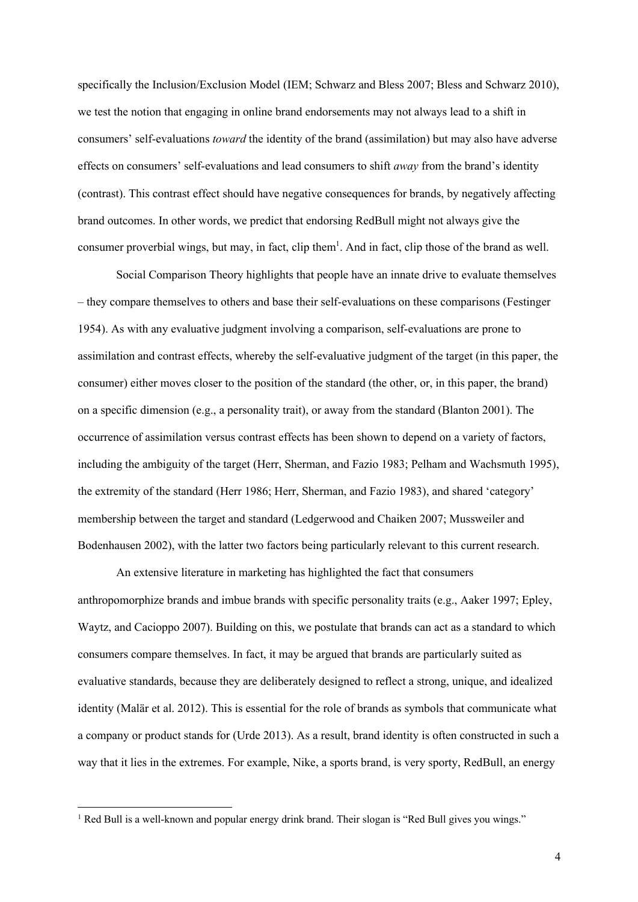specifically the Inclusion/Exclusion Model (IEM; Schwarz and Bless 2007; Bless and Schwarz 2010), we test the notion that engaging in online brand endorsements may not always lead to a shift in consumers' self-evaluations *toward* the identity of the brand (assimilation) but may also have adverse effects on consumers' self-evaluations and lead consumers to shift *away* from the brand's identity (contrast). This contrast effect should have negative consequences for brands, by negatively affecting brand outcomes. In other words, we predict that endorsing RedBull might not always give the consumer proverbial wings, but may, in fact, clip them<sup>1</sup>. And in fact, clip those of the brand as well.

Social Comparison Theory highlights that people have an innate drive to evaluate themselves – they compare themselves to others and base their self-evaluations on these comparisons (Festinger 1954). As with any evaluative judgment involving a comparison, self-evaluations are prone to assimilation and contrast effects, whereby the self-evaluative judgment of the target (in this paper, the consumer) either moves closer to the position of the standard (the other, or, in this paper, the brand) on a specific dimension (e.g., a personality trait), or away from the standard (Blanton 2001). The occurrence of assimilation versus contrast effects has been shown to depend on a variety of factors, including the ambiguity of the target (Herr, Sherman, and Fazio 1983; Pelham and Wachsmuth 1995), the extremity of the standard (Herr 1986; Herr, Sherman, and Fazio 1983), and shared 'category' membership between the target and standard (Ledgerwood and Chaiken 2007; Mussweiler and Bodenhausen 2002), with the latter two factors being particularly relevant to this current research.

An extensive literature in marketing has highlighted the fact that consumers anthropomorphize brands and imbue brands with specific personality traits (e.g., Aaker 1997; Epley, Waytz, and Cacioppo 2007). Building on this, we postulate that brands can act as a standard to which consumers compare themselves. In fact, it may be argued that brands are particularly suited as evaluative standards, because they are deliberately designed to reflect a strong, unique, and idealized identity (Malär et al. 2012). This is essential for the role of brands as symbols that communicate what a company or product stands for (Urde 2013). As a result, brand identity is often constructed in such a way that it lies in the extremes. For example, Nike, a sports brand, is very sporty, RedBull, an energy

<sup>&</sup>lt;sup>1</sup> Red Bull is a well-known and popular energy drink brand. Their slogan is "Red Bull gives you wings."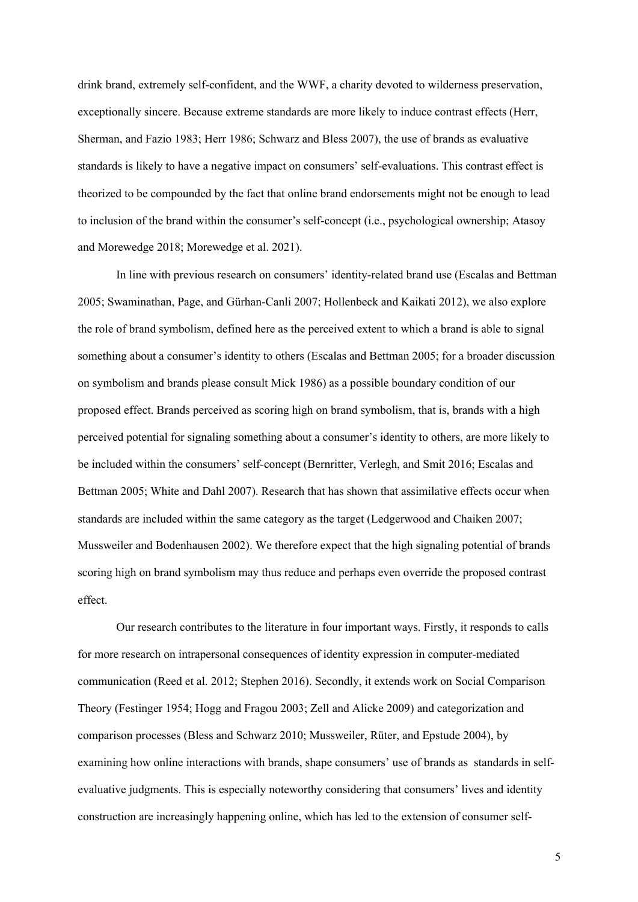drink brand, extremely self-confident, and the WWF, a charity devoted to wilderness preservation, exceptionally sincere. Because extreme standards are more likely to induce contrast effects (Herr, Sherman, and Fazio 1983; Herr 1986; Schwarz and Bless 2007), the use of brands as evaluative standards is likely to have a negative impact on consumers' self-evaluations. This contrast effect is theorized to be compounded by the fact that online brand endorsements might not be enough to lead to inclusion of the brand within the consumer's self-concept (i.e., psychological ownership; Atasoy and Morewedge 2018; Morewedge et al. 2021).

In line with previous research on consumers' identity-related brand use (Escalas and Bettman 2005; Swaminathan, Page, and Gürhan-Canli 2007; Hollenbeck and Kaikati 2012), we also explore the role of brand symbolism, defined here as the perceived extent to which a brand is able to signal something about a consumer's identity to others (Escalas and Bettman 2005; for a broader discussion on symbolism and brands please consult Mick 1986) as a possible boundary condition of our proposed effect. Brands perceived as scoring high on brand symbolism, that is, brands with a high perceived potential for signaling something about a consumer's identity to others, are more likely to be included within the consumers' self-concept (Bernritter, Verlegh, and Smit 2016; Escalas and Bettman 2005; White and Dahl 2007). Research that has shown that assimilative effects occur when standards are included within the same category as the target (Ledgerwood and Chaiken 2007; Mussweiler and Bodenhausen 2002). We therefore expect that the high signaling potential of brands scoring high on brand symbolism may thus reduce and perhaps even override the proposed contrast effect.

Our research contributes to the literature in four important ways. Firstly, it responds to calls for more research on intrapersonal consequences of identity expression in computer-mediated communication (Reed et al. 2012; Stephen 2016). Secondly, it extends work on Social Comparison Theory (Festinger 1954; Hogg and Fragou 2003; Zell and Alicke 2009) and categorization and comparison processes (Bless and Schwarz 2010; Mussweiler, Rüter, and Epstude 2004), by examining how online interactions with brands, shape consumers' use of brands as standards in selfevaluative judgments. This is especially noteworthy considering that consumers' lives and identity construction are increasingly happening online, which has led to the extension of consumer self-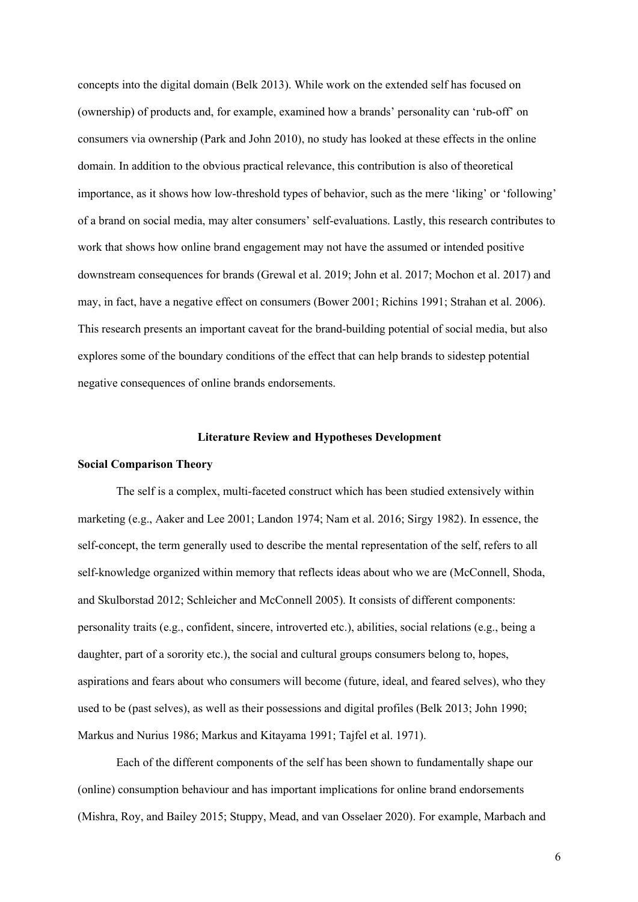concepts into the digital domain (Belk 2013). While work on the extended self has focused on (ownership) of products and, for example, examined how a brands' personality can 'rub-off' on consumers via ownership (Park and John 2010), no study has looked at these effects in the online domain. In addition to the obvious practical relevance, this contribution is also of theoretical importance, as it shows how low-threshold types of behavior, such as the mere 'liking' or 'following' of a brand on social media, may alter consumers' self-evaluations. Lastly, this research contributes to work that shows how online brand engagement may not have the assumed or intended positive downstream consequences for brands (Grewal et al. 2019; John et al. 2017; Mochon et al. 2017) and may, in fact, have a negative effect on consumers (Bower 2001; Richins 1991; Strahan et al. 2006). This research presents an important caveat for the brand-building potential of social media, but also explores some of the boundary conditions of the effect that can help brands to sidestep potential negative consequences of online brands endorsements.

#### **Literature Review and Hypotheses Development**

#### **Social Comparison Theory**

The self is a complex, multi-faceted construct which has been studied extensively within marketing (e.g., Aaker and Lee 2001; Landon 1974; Nam et al. 2016; Sirgy 1982). In essence, the self-concept, the term generally used to describe the mental representation of the self, refers to all self-knowledge organized within memory that reflects ideas about who we are (McConnell, Shoda, and Skulborstad 2012; Schleicher and McConnell 2005). It consists of different components: personality traits (e.g., confident, sincere, introverted etc.), abilities, social relations (e.g., being a daughter, part of a sorority etc.), the social and cultural groups consumers belong to, hopes, aspirations and fears about who consumers will become (future, ideal, and feared selves), who they used to be (past selves), as well as their possessions and digital profiles (Belk 2013; John 1990; Markus and Nurius 1986; Markus and Kitayama 1991; Tajfel et al. 1971).

Each of the different components of the self has been shown to fundamentally shape our (online) consumption behaviour and has important implications for online brand endorsements (Mishra, Roy, and Bailey 2015; Stuppy, Mead, and van Osselaer 2020). For example, Marbach and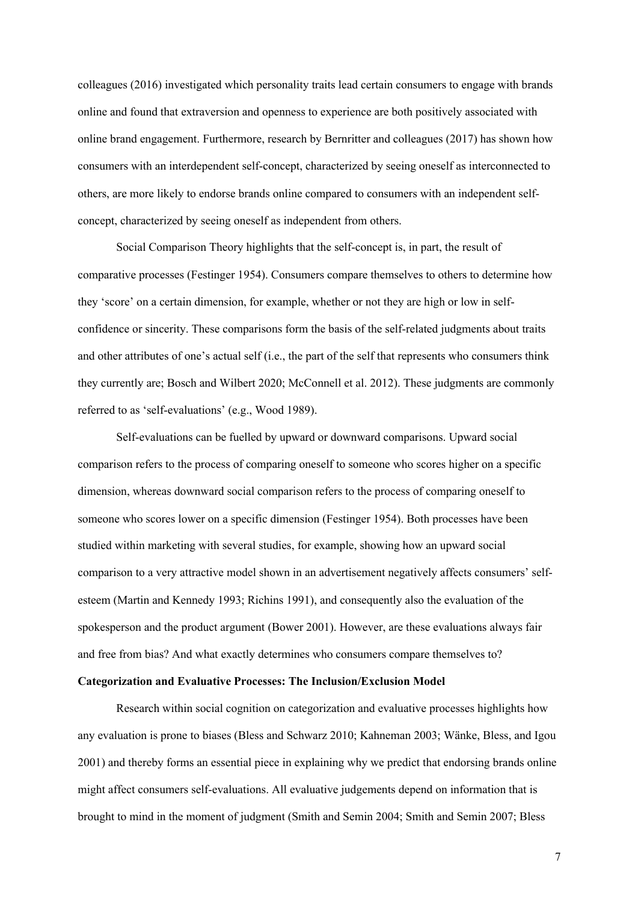colleagues (2016) investigated which personality traits lead certain consumers to engage with brands online and found that extraversion and openness to experience are both positively associated with online brand engagement. Furthermore, research by Bernritter and colleagues (2017) has shown how consumers with an interdependent self-concept, characterized by seeing oneself as interconnected to others, are more likely to endorse brands online compared to consumers with an independent selfconcept, characterized by seeing oneself as independent from others.

Social Comparison Theory highlights that the self-concept is, in part, the result of comparative processes (Festinger 1954). Consumers compare themselves to others to determine how they 'score' on a certain dimension, for example, whether or not they are high or low in selfconfidence or sincerity. These comparisons form the basis of the self-related judgments about traits and other attributes of one's actual self (i.e., the part of the self that represents who consumers think they currently are; Bosch and Wilbert 2020; McConnell et al. 2012). These judgments are commonly referred to as 'self-evaluations' (e.g., Wood 1989).

Self-evaluations can be fuelled by upward or downward comparisons. Upward social comparison refers to the process of comparing oneself to someone who scores higher on a specific dimension, whereas downward social comparison refers to the process of comparing oneself to someone who scores lower on a specific dimension (Festinger 1954). Both processes have been studied within marketing with several studies, for example, showing how an upward social comparison to a very attractive model shown in an advertisement negatively affects consumers' selfesteem (Martin and Kennedy 1993; Richins 1991), and consequently also the evaluation of the spokesperson and the product argument (Bower 2001). However, are these evaluations always fair and free from bias? And what exactly determines who consumers compare themselves to?

## **Categorization and Evaluative Processes: The Inclusion/Exclusion Model**

Research within social cognition on categorization and evaluative processes highlights how any evaluation is prone to biases (Bless and Schwarz 2010; Kahneman 2003; Wänke, Bless, and Igou 2001) and thereby forms an essential piece in explaining why we predict that endorsing brands online might affect consumers self-evaluations. All evaluative judgements depend on information that is brought to mind in the moment of judgment (Smith and Semin 2004; Smith and Semin 2007; Bless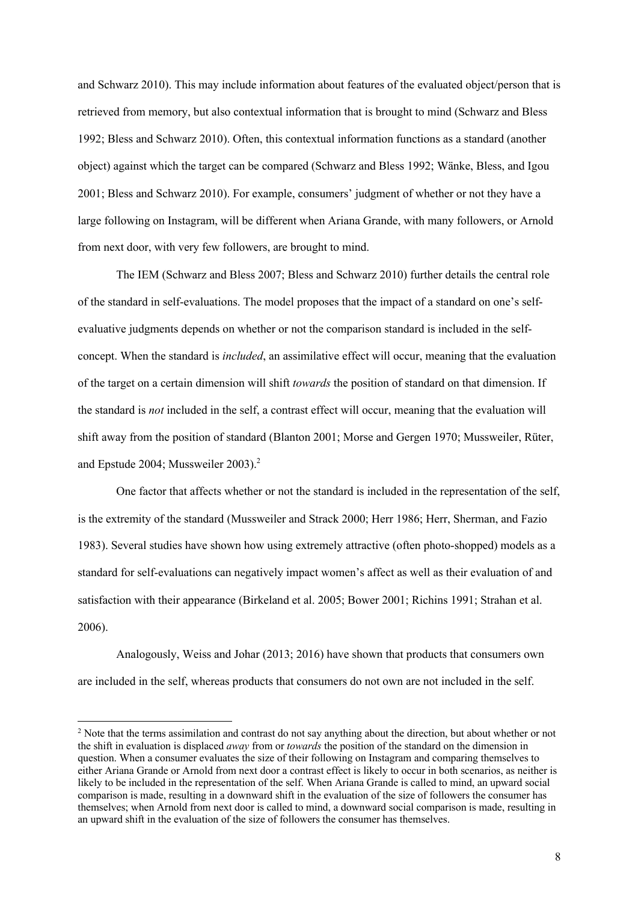and Schwarz 2010). This may include information about features of the evaluated object/person that is retrieved from memory, but also contextual information that is brought to mind (Schwarz and Bless 1992; Bless and Schwarz 2010). Often, this contextual information functions as a standard (another object) against which the target can be compared (Schwarz and Bless 1992; Wänke, Bless, and Igou 2001; Bless and Schwarz 2010). For example, consumers' judgment of whether or not they have a large following on Instagram, will be different when Ariana Grande, with many followers, or Arnold from next door, with very few followers, are brought to mind.

The IEM (Schwarz and Bless 2007; Bless and Schwarz 2010) further details the central role of the standard in self-evaluations. The model proposes that the impact of a standard on one's selfevaluative judgments depends on whether or not the comparison standard is included in the selfconcept. When the standard is *included*, an assimilative effect will occur, meaning that the evaluation of the target on a certain dimension will shift *towards* the position of standard on that dimension. If the standard is *not* included in the self, a contrast effect will occur, meaning that the evaluation will shift away from the position of standard (Blanton 2001; Morse and Gergen 1970; Mussweiler, Rüter, and Epstude 2004; Mussweiler 2003). 2

One factor that affects whether or not the standard is included in the representation of the self, is the extremity of the standard (Mussweiler and Strack 2000; Herr 1986; Herr, Sherman, and Fazio 1983). Several studies have shown how using extremely attractive (often photo-shopped) models as a standard for self-evaluations can negatively impact women's affect as well as their evaluation of and satisfaction with their appearance (Birkeland et al. 2005; Bower 2001; Richins 1991; Strahan et al. 2006).

Analogously, Weiss and Johar (2013; 2016) have shown that products that consumers own are included in the self, whereas products that consumers do not own are not included in the self.

<sup>&</sup>lt;sup>2</sup> Note that the terms assimilation and contrast do not say anything about the direction, but about whether or not the shift in evaluation is displaced *away* from or *towards* the position of the standard on the dimension in question. When a consumer evaluates the size of their following on Instagram and comparing themselves to either Ariana Grande or Arnold from next door a contrast effect is likely to occur in both scenarios, as neither is likely to be included in the representation of the self. When Ariana Grande is called to mind, an upward social comparison is made, resulting in a downward shift in the evaluation of the size of followers the consumer has themselves; when Arnold from next door is called to mind, a downward social comparison is made, resulting in an upward shift in the evaluation of the size of followers the consumer has themselves.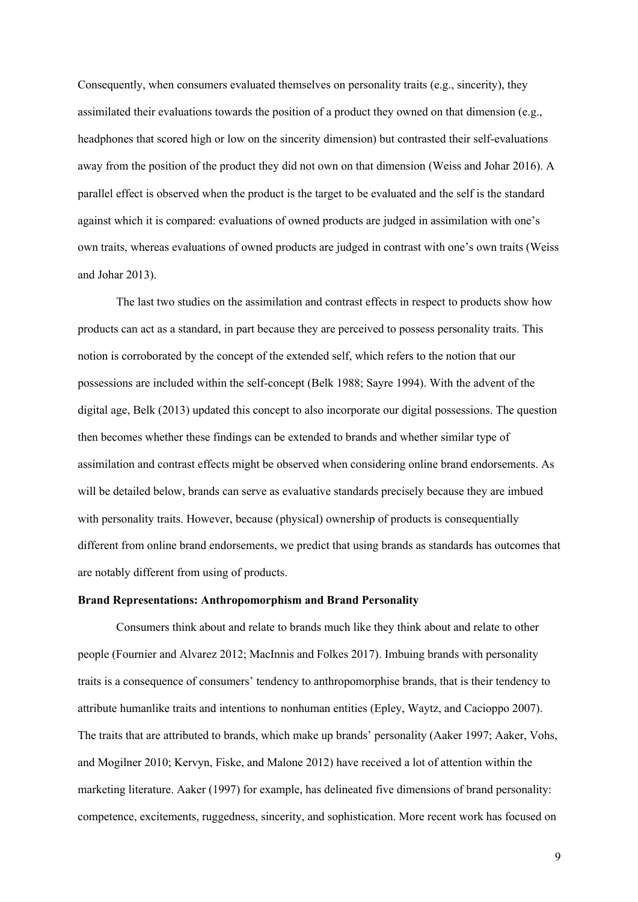Consequently, when consumers evaluated themselves on personality traits (e.g., sincerity), they assimilated their evaluations towards the position of a product they owned on that dimension (e.g., headphones that scored high or low on the sincerity dimension) but contrasted their self-evaluations away from the position of the product they did not own on that dimension (Weiss and Johar 2016). A parallel effect is observed when the product is the target to be evaluated and the self is the standard against which it is compared: evaluations of owned products are judged in assimilation with one's own traits, whereas evaluations of owned products are judged in contrast with one's own traits (Weiss and Johar 2013).

The last two studies on the assimilation and contrast effects in respect to products show how products can act as a standard, in part because they are perceived to possess personality traits. This notion is corroborated by the concept of the extended self, which refers to the notion that our possessions are included within the self-concept (Belk 1988; Sayre 1994). With the advent of the digital age, Belk (2013) updated this concept to also incorporate our digital possessions. The question then becomes whether these findings can be extended to brands and whether similar type of assimilation and contrast effects might be observed when considering online brand endorsements. As will be detailed below, brands can serve as evaluative standards precisely because they are imbued with personality traits. However, because (physical) ownership of products is consequentially different from online brand endorsements, we predict that using brands as standards has outcomes that are notably different from using of products.

#### **Brand Representations: Anthropomorphism and Brand Personality**

Consumers think about and relate to brands much like they think about and relate to other people (Fournier and Alvarez 2012; MacInnis and Folkes 2017). Imbuing brands with personality traits is a consequence of consumers' tendency to anthropomorphise brands, that is their tendency to attribute humanlike traits and intentions to nonhuman entities (Epley, Waytz, and Cacioppo 2007). The traits that are attributed to brands, which make up brands' personality (Aaker 1997; Aaker, Vohs, and Mogilner 2010; Kervyn, Fiske, and Malone 2012) have received a lot of attention within the marketing literature. Aaker (1997) for example, has delineated five dimensions of brand personality: competence, excitements, ruggedness, sincerity, and sophistication. More recent work has focused on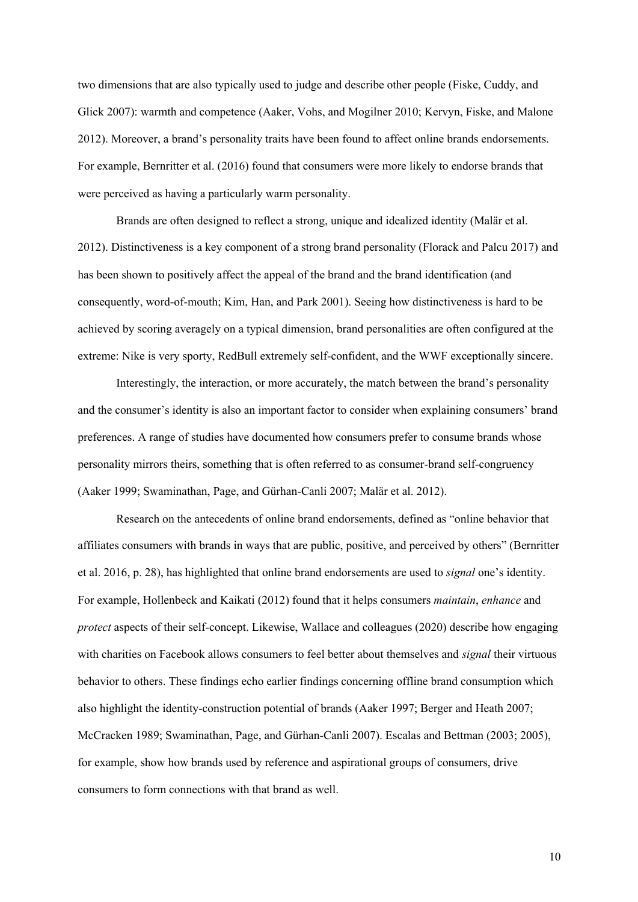two dimensions that are also typically used to judge and describe other people (Fiske, Cuddy, and Glick 2007): warmth and competence (Aaker, Vohs, and Mogilner 2010; Kervyn, Fiske, and Malone 2012). Moreover, a brand's personality traits have been found to affect online brands endorsements. For example, Bernritter et al. (2016) found that consumers were more likely to endorse brands that were perceived as having a particularly warm personality.

Brands are often designed to reflect a strong, unique and idealized identity (Malär et al. 2012). Distinctiveness is a key component of a strong brand personality (Florack and Palcu 2017) and has been shown to positively affect the appeal of the brand and the brand identification (and consequently, word-of-mouth; Kim, Han, and Park 2001). Seeing how distinctiveness is hard to be achieved by scoring averagely on a typical dimension, brand personalities are often configured at the extreme: Nike is very sporty, RedBull extremely self-confident, and the WWF exceptionally sincere.

Interestingly, the interaction, or more accurately, the match between the brand's personality and the consumer's identity is also an important factor to consider when explaining consumers' brand preferences. A range of studies have documented how consumers prefer to consume brands whose personality mirrors theirs, something that is often referred to as consumer-brand self-congruency (Aaker 1999; Swaminathan, Page, and Gürhan-Canli 2007; Malär et al. 2012).

Research on the antecedents of online brand endorsements, defined as "online behavior that affiliates consumers with brands in ways that are public, positive, and perceived by others" (Bernritter et al. 2016, p. 28), has highlighted that online brand endorsements are used to *signal* one's identity. For example, Hollenbeck and Kaikati (2012) found that it helps consumers *maintain*, *enhance* and *protect* aspects of their self-concept. Likewise, Wallace and colleagues (2020) describe how engaging with charities on Facebook allows consumers to feel better about themselves and *signal* their virtuous behavior to others. These findings echo earlier findings concerning offline brand consumption which also highlight the identity-construction potential of brands (Aaker 1997; Berger and Heath 2007; McCracken 1989; Swaminathan, Page, and Gürhan-Canli 2007). Escalas and Bettman (2003; 2005), for example, show how brands used by reference and aspirational groups of consumers, drive consumers to form connections with that brand as well.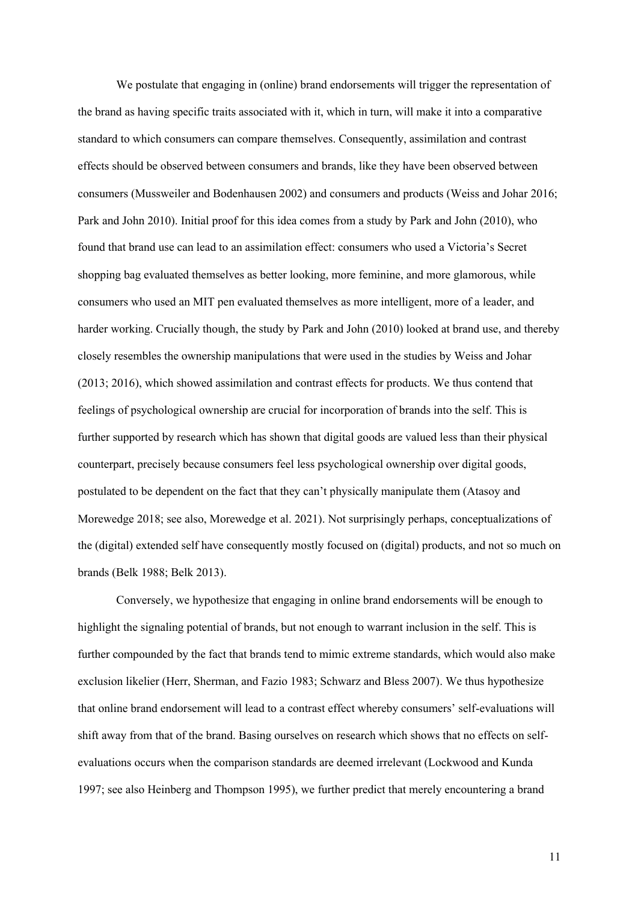We postulate that engaging in (online) brand endorsements will trigger the representation of the brand as having specific traits associated with it, which in turn, will make it into a comparative standard to which consumers can compare themselves. Consequently, assimilation and contrast effects should be observed between consumers and brands, like they have been observed between consumers (Mussweiler and Bodenhausen 2002) and consumers and products (Weiss and Johar 2016; Park and John 2010). Initial proof for this idea comes from a study by Park and John (2010), who found that brand use can lead to an assimilation effect: consumers who used a Victoria's Secret shopping bag evaluated themselves as better looking, more feminine, and more glamorous, while consumers who used an MIT pen evaluated themselves as more intelligent, more of a leader, and harder working. Crucially though, the study by Park and John (2010) looked at brand use, and thereby closely resembles the ownership manipulations that were used in the studies by Weiss and Johar (2013; 2016), which showed assimilation and contrast effects for products. We thus contend that feelings of psychological ownership are crucial for incorporation of brands into the self. This is further supported by research which has shown that digital goods are valued less than their physical counterpart, precisely because consumers feel less psychological ownership over digital goods, postulated to be dependent on the fact that they can't physically manipulate them (Atasoy and Morewedge 2018; see also, Morewedge et al. 2021). Not surprisingly perhaps, conceptualizations of the (digital) extended self have consequently mostly focused on (digital) products, and not so much on brands (Belk 1988; Belk 2013).

Conversely, we hypothesize that engaging in online brand endorsements will be enough to highlight the signaling potential of brands, but not enough to warrant inclusion in the self. This is further compounded by the fact that brands tend to mimic extreme standards, which would also make exclusion likelier (Herr, Sherman, and Fazio 1983; Schwarz and Bless 2007). We thus hypothesize that online brand endorsement will lead to a contrast effect whereby consumers' self-evaluations will shift away from that of the brand. Basing ourselves on research which shows that no effects on selfevaluations occurs when the comparison standards are deemed irrelevant (Lockwood and Kunda 1997; see also Heinberg and Thompson 1995), we further predict that merely encountering a brand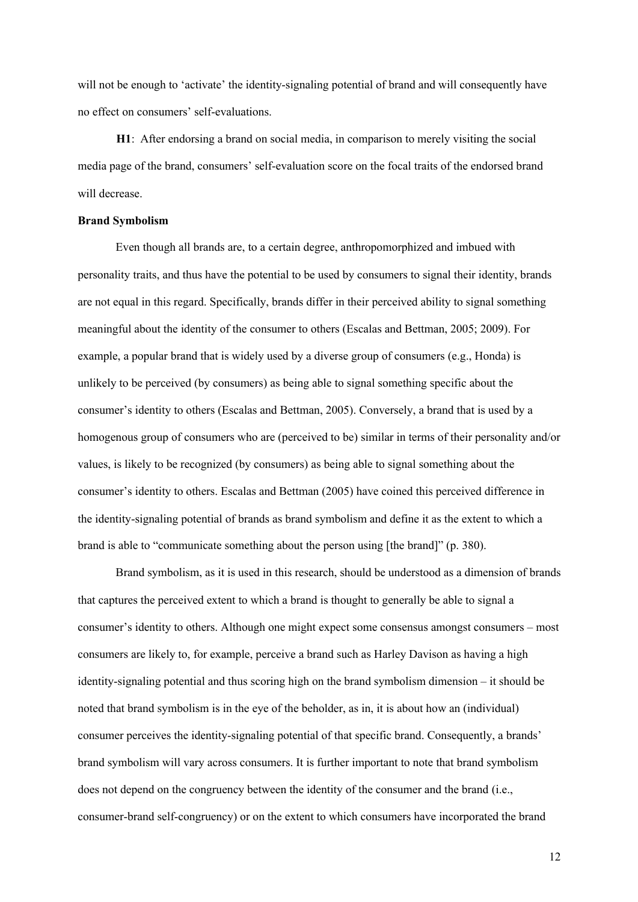will not be enough to 'activate' the identity-signaling potential of brand and will consequently have no effect on consumers' self-evaluations.

**H1**: After endorsing a brand on social media, in comparison to merely visiting the social media page of the brand, consumers' self-evaluation score on the focal traits of the endorsed brand will decrease.

#### **Brand Symbolism**

Even though all brands are, to a certain degree, anthropomorphized and imbued with personality traits, and thus have the potential to be used by consumers to signal their identity, brands are not equal in this regard. Specifically, brands differ in their perceived ability to signal something meaningful about the identity of the consumer to others (Escalas and Bettman, 2005; 2009). For example, a popular brand that is widely used by a diverse group of consumers (e.g., Honda) is unlikely to be perceived (by consumers) as being able to signal something specific about the consumer's identity to others (Escalas and Bettman, 2005). Conversely, a brand that is used by a homogenous group of consumers who are (perceived to be) similar in terms of their personality and/or values, is likely to be recognized (by consumers) as being able to signal something about the consumer's identity to others. Escalas and Bettman (2005) have coined this perceived difference in the identity-signaling potential of brands as brand symbolism and define it as the extent to which a brand is able to "communicate something about the person using [the brand]" (p. 380).

Brand symbolism, as it is used in this research, should be understood as a dimension of brands that captures the perceived extent to which a brand is thought to generally be able to signal a consumer's identity to others. Although one might expect some consensus amongst consumers – most consumers are likely to, for example, perceive a brand such as Harley Davison as having a high identity-signaling potential and thus scoring high on the brand symbolism dimension – it should be noted that brand symbolism is in the eye of the beholder, as in, it is about how an (individual) consumer perceives the identity-signaling potential of that specific brand. Consequently, a brands' brand symbolism will vary across consumers. It is further important to note that brand symbolism does not depend on the congruency between the identity of the consumer and the brand (i.e., consumer-brand self-congruency) or on the extent to which consumers have incorporated the brand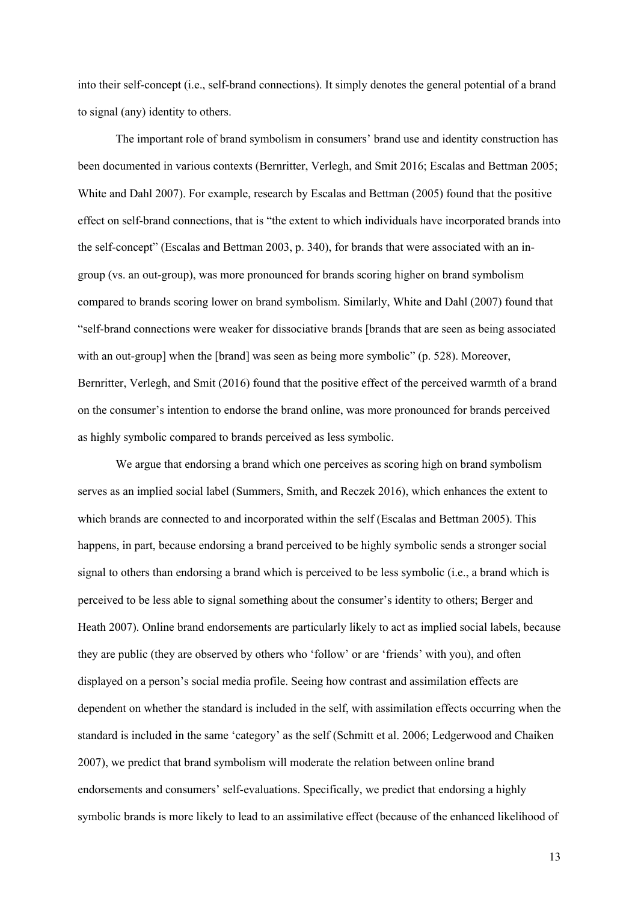into their self-concept (i.e., self-brand connections). It simply denotes the general potential of a brand to signal (any) identity to others.

The important role of brand symbolism in consumers' brand use and identity construction has been documented in various contexts (Bernritter, Verlegh, and Smit 2016; Escalas and Bettman 2005; White and Dahl 2007). For example, research by Escalas and Bettman (2005) found that the positive effect on self-brand connections, that is "the extent to which individuals have incorporated brands into the self-concept" (Escalas and Bettman 2003, p. 340), for brands that were associated with an ingroup (vs. an out-group), was more pronounced for brands scoring higher on brand symbolism compared to brands scoring lower on brand symbolism. Similarly, White and Dahl (2007) found that "self-brand connections were weaker for dissociative brands [brands that are seen as being associated with an out-group] when the [brand] was seen as being more symbolic" (p. 528). Moreover, Bernritter, Verlegh, and Smit (2016) found that the positive effect of the perceived warmth of a brand on the consumer's intention to endorse the brand online, was more pronounced for brands perceived as highly symbolic compared to brands perceived as less symbolic.

We argue that endorsing a brand which one perceives as scoring high on brand symbolism serves as an implied social label (Summers, Smith, and Reczek 2016), which enhances the extent to which brands are connected to and incorporated within the self (Escalas and Bettman 2005). This happens, in part, because endorsing a brand perceived to be highly symbolic sends a stronger social signal to others than endorsing a brand which is perceived to be less symbolic (i.e., a brand which is perceived to be less able to signal something about the consumer's identity to others; Berger and Heath 2007). Online brand endorsements are particularly likely to act as implied social labels, because they are public (they are observed by others who 'follow' or are 'friends' with you), and often displayed on a person's social media profile. Seeing how contrast and assimilation effects are dependent on whether the standard is included in the self, with assimilation effects occurring when the standard is included in the same 'category' as the self (Schmitt et al. 2006; Ledgerwood and Chaiken 2007), we predict that brand symbolism will moderate the relation between online brand endorsements and consumers' self-evaluations. Specifically, we predict that endorsing a highly symbolic brands is more likely to lead to an assimilative effect (because of the enhanced likelihood of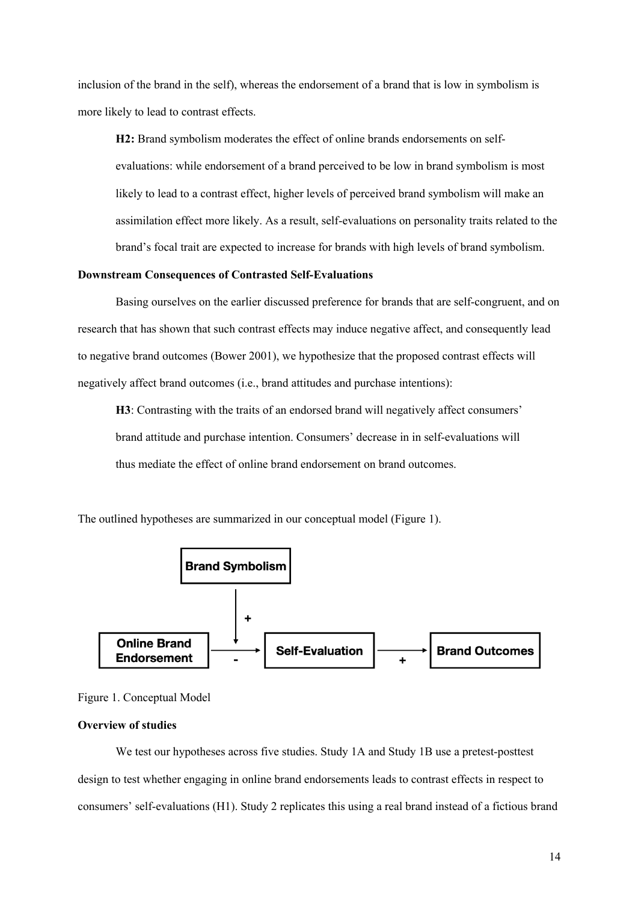inclusion of the brand in the self), whereas the endorsement of a brand that is low in symbolism is more likely to lead to contrast effects.

**H2:** Brand symbolism moderates the effect of online brands endorsements on selfevaluations: while endorsement of a brand perceived to be low in brand symbolism is most likely to lead to a contrast effect, higher levels of perceived brand symbolism will make an assimilation effect more likely. As a result, self-evaluations on personality traits related to the brand's focal trait are expected to increase for brands with high levels of brand symbolism.

#### **Downstream Consequences of Contrasted Self-Evaluations**

Basing ourselves on the earlier discussed preference for brands that are self-congruent, and on research that has shown that such contrast effects may induce negative affect, and consequently lead to negative brand outcomes (Bower 2001), we hypothesize that the proposed contrast effects will negatively affect brand outcomes (i.e., brand attitudes and purchase intentions):

**H3**: Contrasting with the traits of an endorsed brand will negatively affect consumers' brand attitude and purchase intention. Consumers' decrease in in self-evaluations will thus mediate the effect of online brand endorsement on brand outcomes.

The outlined hypotheses are summarized in our conceptual model (Figure 1).





#### **Overview of studies**

We test our hypotheses across five studies. Study 1A and Study 1B use a pretest-posttest design to test whether engaging in online brand endorsements leads to contrast effects in respect to consumers' self-evaluations (H1). Study 2 replicates this using a real brand instead of a fictious brand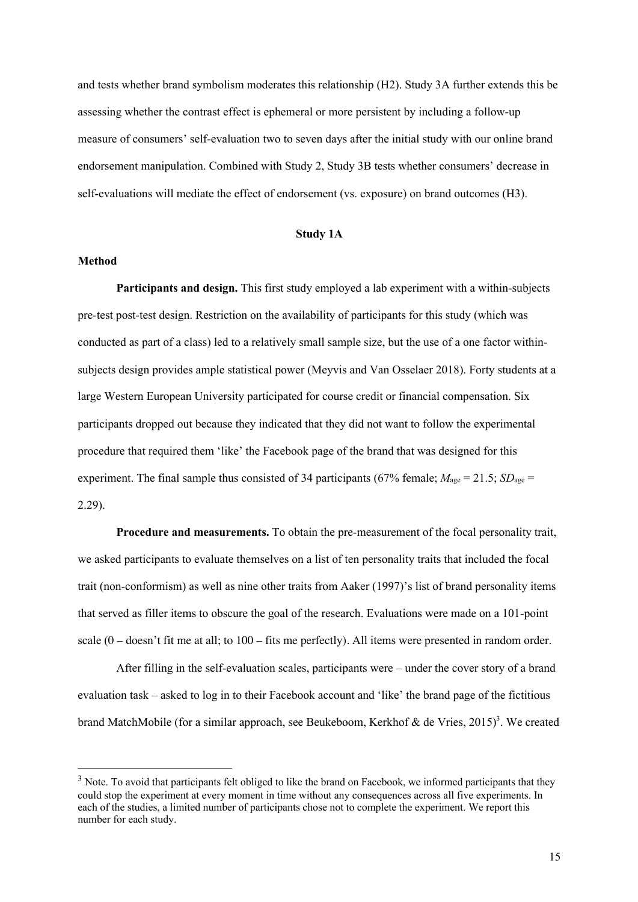and tests whether brand symbolism moderates this relationship (H2). Study 3A further extends this be assessing whether the contrast effect is ephemeral or more persistent by including a follow-up measure of consumers' self-evaluation two to seven days after the initial study with our online brand endorsement manipulation. Combined with Study 2, Study 3B tests whether consumers' decrease in self-evaluations will mediate the effect of endorsement (vs. exposure) on brand outcomes (H3).

#### **Study 1A**

#### **Method**

Participants and design. This first study employed a lab experiment with a within-subjects pre-test post-test design. Restriction on the availability of participants for this study (which was conducted as part of a class) led to a relatively small sample size, but the use of a one factor withinsubjects design provides ample statistical power (Meyvis and Van Osselaer 2018). Forty students at a large Western European University participated for course credit or financial compensation. Six participants dropped out because they indicated that they did not want to follow the experimental procedure that required them 'like' the Facebook page of the brand that was designed for this experiment. The final sample thus consisted of 34 participants (67% female;  $M_{\text{age}} = 21.5$ ;  $SD_{\text{age}} =$ 2.29).

**Procedure and measurements.** To obtain the pre-measurement of the focal personality trait, we asked participants to evaluate themselves on a list of ten personality traits that included the focal trait (non-conformism) as well as nine other traits from Aaker (1997)'s list of brand personality items that served as filler items to obscure the goal of the research. Evaluations were made on a 101-point scale  $(0 -$ doesn't fit me at all; to  $100 -$  fits me perfectly). All items were presented in random order.

After filling in the self-evaluation scales, participants were – under the cover story of a brand evaluation task – asked to log in to their Facebook account and 'like' the brand page of the fictitious brand MatchMobile (for a similar approach, see Beukeboom, Kerkhof & de Vries, 2015)<sup>3</sup>. We created

 $3$  Note. To avoid that participants felt obliged to like the brand on Facebook, we informed participants that they could stop the experiment at every moment in time without any consequences across all five experiments. In each of the studies, a limited number of participants chose not to complete the experiment. We report this number for each study.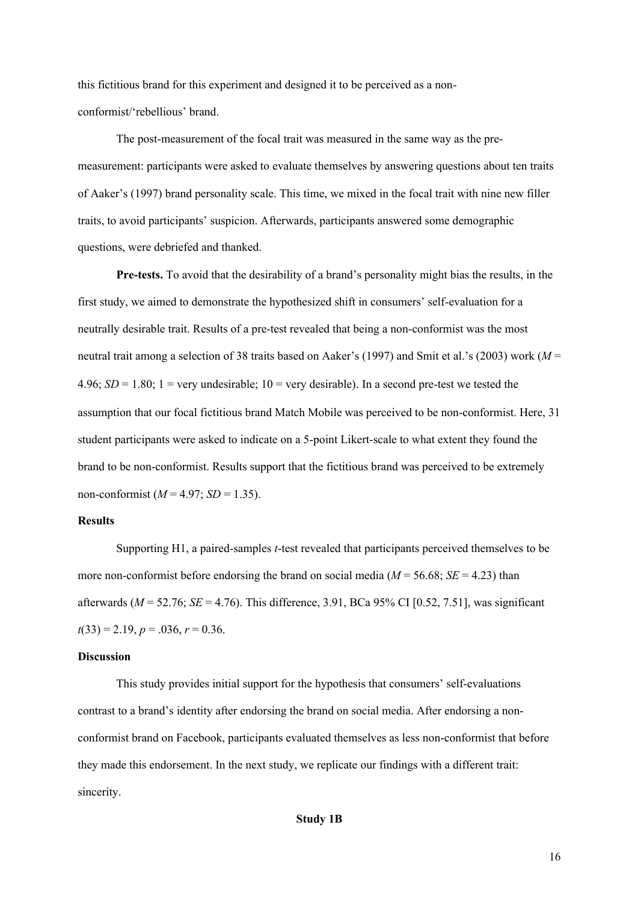this fictitious brand for this experiment and designed it to be perceived as a nonconformist/'rebellious' brand.

The post-measurement of the focal trait was measured in the same way as the premeasurement: participants were asked to evaluate themselves by answering questions about ten traits of Aaker's (1997) brand personality scale. This time, we mixed in the focal trait with nine new filler traits, to avoid participants' suspicion. Afterwards, participants answered some demographic questions, were debriefed and thanked.

**Pre-tests.** To avoid that the desirability of a brand's personality might bias the results, in the first study, we aimed to demonstrate the hypothesized shift in consumers' self-evaluation for a neutrally desirable trait. Results of a pre-test revealed that being a non-conformist was the most neutral trait among a selection of 38 traits based on Aaker's (1997) and Smit et al.'s (2003) work (*M* = 4.96;  $SD = 1.80$ ;  $1 = \text{very undesirable}$ ;  $10 = \text{very desirable}$ . In a second pre-test we tested the assumption that our focal fictitious brand Match Mobile was perceived to be non-conformist. Here, 31 student participants were asked to indicate on a 5-point Likert-scale to what extent they found the brand to be non-conformist. Results support that the fictitious brand was perceived to be extremely non-conformist  $(M = 4.97; SD = 1.35)$ .

#### **Results**

Supporting H1, a paired-samples *t*-test revealed that participants perceived themselves to be more non-conformist before endorsing the brand on social media ( $M = 56.68$ ;  $SE = 4.23$ ) than afterwards (*M* = 52.76; *SE* = 4.76). This difference, 3.91, BCa 95% CI [0.52, 7.51], was significant  $t(33) = 2.19, p = .036, r = 0.36.$ 

#### **Discussion**

This study provides initial support for the hypothesis that consumers' self-evaluations contrast to a brand's identity after endorsing the brand on social media. After endorsing a nonconformist brand on Facebook, participants evaluated themselves as less non-conformist that before they made this endorsement. In the next study, we replicate our findings with a different trait: sincerity.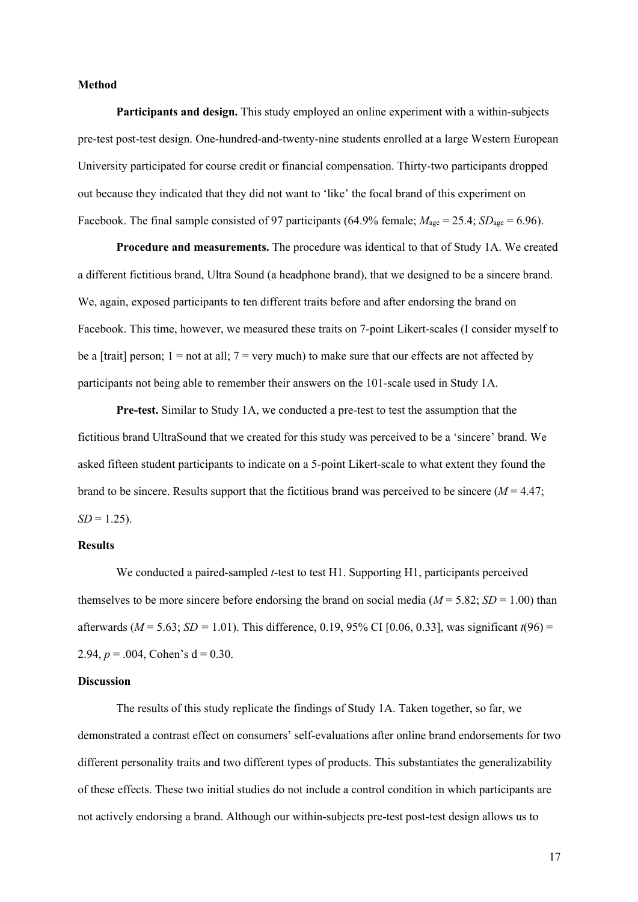#### **Method**

**Participants and design.** This study employed an online experiment with a within-subjects pre-test post-test design. One-hundred-and-twenty-nine students enrolled at a large Western European University participated for course credit or financial compensation. Thirty-two participants dropped out because they indicated that they did not want to 'like' the focal brand of this experiment on Facebook. The final sample consisted of 97 participants (64.9% female;  $M_{\text{age}} = 25.4$ ;  $SD_{\text{age}} = 6.96$ ).

**Procedure and measurements.** The procedure was identical to that of Study 1A. We created a different fictitious brand, Ultra Sound (a headphone brand), that we designed to be a sincere brand. We, again, exposed participants to ten different traits before and after endorsing the brand on Facebook. This time, however, we measured these traits on 7-point Likert-scales (I consider myself to be a [trait] person;  $1 = not$  at all;  $7 = very$  much) to make sure that our effects are not affected by participants not being able to remember their answers on the 101-scale used in Study 1A.

**Pre-test.** Similar to Study 1A, we conducted a pre-test to test the assumption that the fictitious brand UltraSound that we created for this study was perceived to be a 'sincere' brand. We asked fifteen student participants to indicate on a 5-point Likert-scale to what extent they found the brand to be sincere. Results support that the fictitious brand was perceived to be sincere (*M* = 4.47;  $SD = 1.25$ ).

#### **Results**

We conducted a paired-sampled *t*-test to test H1. Supporting H1, participants perceived themselves to be more sincere before endorsing the brand on social media ( $M = 5.82$ ;  $SD = 1.00$ ) than afterwards (*M* = 5.63; *SD =* 1.01). This difference, 0.19, 95% CI [0.06, 0.33], was significant *t*(96) = 2.94,  $p = .004$ , Cohen's  $d = 0.30$ .

#### **Discussion**

The results of this study replicate the findings of Study 1A. Taken together, so far, we demonstrated a contrast effect on consumers' self-evaluations after online brand endorsements for two different personality traits and two different types of products. This substantiates the generalizability of these effects. These two initial studies do not include a control condition in which participants are not actively endorsing a brand. Although our within-subjects pre-test post-test design allows us to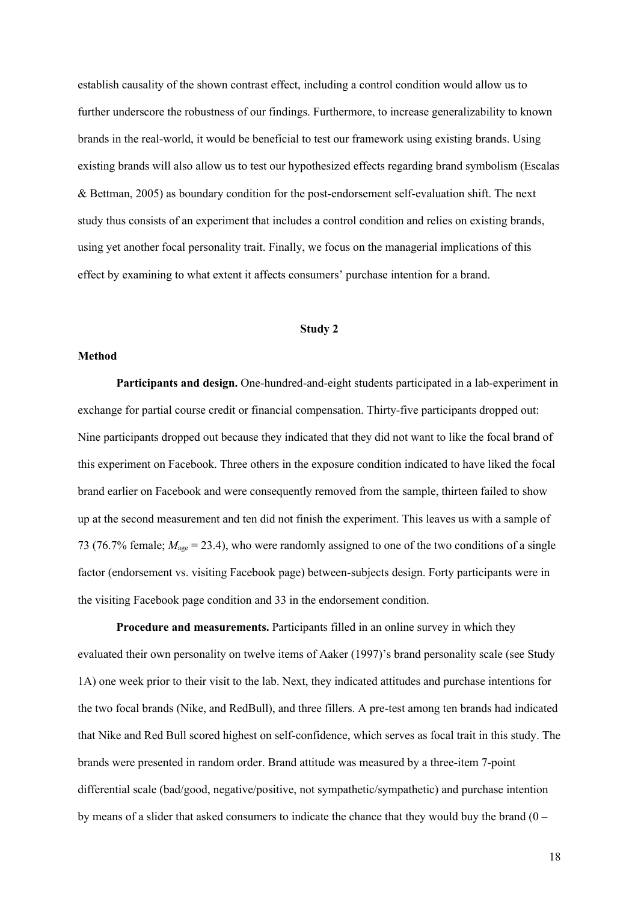establish causality of the shown contrast effect, including a control condition would allow us to further underscore the robustness of our findings. Furthermore, to increase generalizability to known brands in the real-world, it would be beneficial to test our framework using existing brands. Using existing brands will also allow us to test our hypothesized effects regarding brand symbolism (Escalas & Bettman, 2005) as boundary condition for the post-endorsement self-evaluation shift. The next study thus consists of an experiment that includes a control condition and relies on existing brands, using yet another focal personality trait. Finally, we focus on the managerial implications of this effect by examining to what extent it affects consumers' purchase intention for a brand.

#### **Study 2**

#### **Method**

**Participants and design.** One-hundred-and-eight students participated in a lab-experiment in exchange for partial course credit or financial compensation. Thirty-five participants dropped out: Nine participants dropped out because they indicated that they did not want to like the focal brand of this experiment on Facebook. Three others in the exposure condition indicated to have liked the focal brand earlier on Facebook and were consequently removed from the sample, thirteen failed to show up at the second measurement and ten did not finish the experiment. This leaves us with a sample of 73 (76.7% female; *M*age = 23.4), who were randomly assigned to one of the two conditions of a single factor (endorsement vs. visiting Facebook page) between-subjects design. Forty participants were in the visiting Facebook page condition and 33 in the endorsement condition.

**Procedure and measurements.** Participants filled in an online survey in which they evaluated their own personality on twelve items of Aaker (1997)'s brand personality scale (see Study 1A) one week prior to their visit to the lab. Next, they indicated attitudes and purchase intentions for the two focal brands (Nike, and RedBull), and three fillers. A pre-test among ten brands had indicated that Nike and Red Bull scored highest on self-confidence, which serves as focal trait in this study. The brands were presented in random order. Brand attitude was measured by a three-item 7-point differential scale (bad/good, negative/positive, not sympathetic/sympathetic) and purchase intention by means of a slider that asked consumers to indicate the chance that they would buy the brand  $(0 -$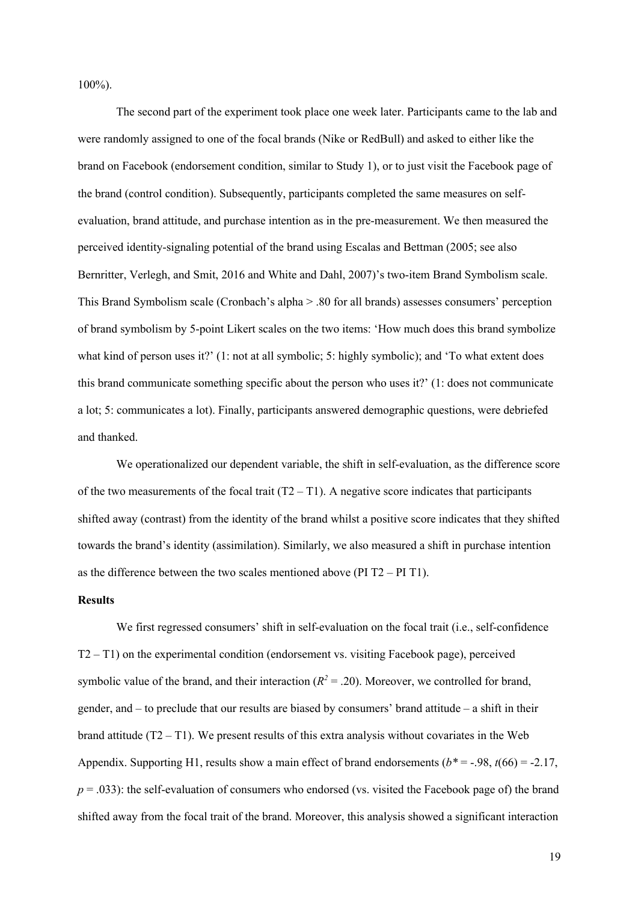100%).

The second part of the experiment took place one week later. Participants came to the lab and were randomly assigned to one of the focal brands (Nike or RedBull) and asked to either like the brand on Facebook (endorsement condition, similar to Study 1), or to just visit the Facebook page of the brand (control condition). Subsequently, participants completed the same measures on selfevaluation, brand attitude, and purchase intention as in the pre-measurement. We then measured the perceived identity-signaling potential of the brand using Escalas and Bettman (2005; see also Bernritter, Verlegh, and Smit, 2016 and White and Dahl, 2007)'s two-item Brand Symbolism scale. This Brand Symbolism scale (Cronbach's alpha > .80 for all brands) assesses consumers' perception of brand symbolism by 5-point Likert scales on the two items: 'How much does this brand symbolize what kind of person uses it?' (1: not at all symbolic; 5: highly symbolic); and 'To what extent does this brand communicate something specific about the person who uses it?' (1: does not communicate a lot; 5: communicates a lot). Finally, participants answered demographic questions, were debriefed and thanked.

We operationalized our dependent variable, the shift in self-evaluation, as the difference score of the two measurements of the focal trait  $(T2 - T1)$ . A negative score indicates that participants shifted away (contrast) from the identity of the brand whilst a positive score indicates that they shifted towards the brand's identity (assimilation). Similarly, we also measured a shift in purchase intention as the difference between the two scales mentioned above (PI T2 – PI T1).

#### **Results**

We first regressed consumers' shift in self-evaluation on the focal trait (i.e., self-confidence T2 – T1) on the experimental condition (endorsement vs. visiting Facebook page), perceived symbolic value of the brand, and their interaction  $(R^2 = .20)$ . Moreover, we controlled for brand, gender, and – to preclude that our results are biased by consumers' brand attitude – a shift in their brand attitude  $(T2 - T1)$ . We present results of this extra analysis without covariates in the Web Appendix. Supporting H1, results show a main effect of brand endorsements  $(b^* = -0.98, t(66) = -2.17,$  $p = 0.033$ ): the self-evaluation of consumers who endorsed (vs. visited the Facebook page of) the brand shifted away from the focal trait of the brand. Moreover, this analysis showed a significant interaction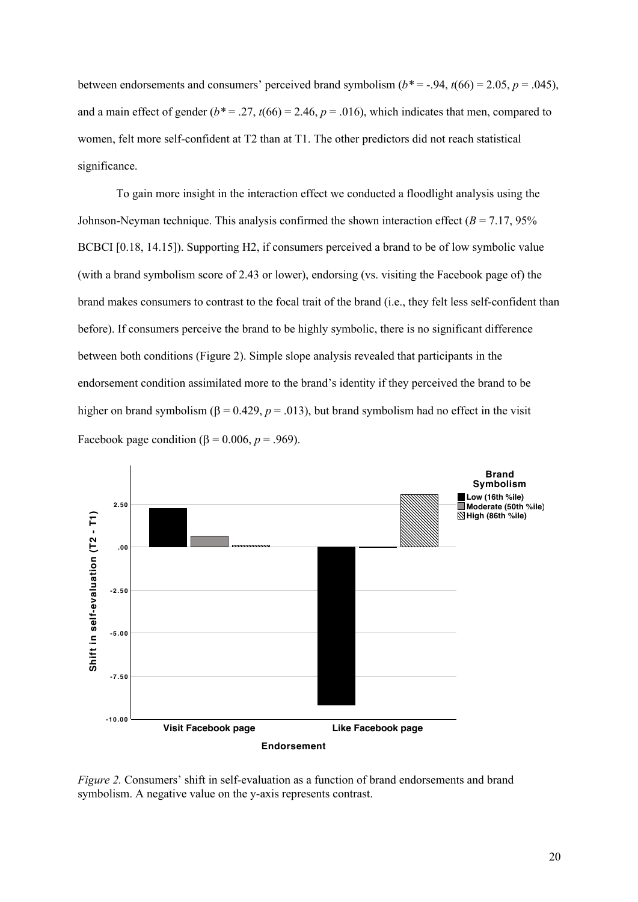between endorsements and consumers' perceived brand symbolism  $(b^* = -.94, t(66) = 2.05, p = .045)$ , and a main effect of gender  $(b^* = .27, t(66) = 2.46, p = .016)$ , which indicates that men, compared to women, felt more self-confident at T2 than at T1. The other predictors did not reach statistical significance.

To gain more insight in the interaction effect we conducted a floodlight analysis using the Johnson-Neyman technique. This analysis confirmed the shown interaction effect (*B* = 7.17, 95% BCBCI [0.18, 14.15]). Supporting H2, if consumers perceived a brand to be of low symbolic value (with a brand symbolism score of 2.43 or lower), endorsing (vs. visiting the Facebook page of) the brand makes consumers to contrast to the focal trait of the brand (i.e., they felt less self-confident than before). If consumers perceive the brand to be highly symbolic, there is no significant difference between both conditions (Figure 2). Simple slope analysis revealed that participants in the endorsement condition assimilated more to the brand's identity if they perceived the brand to be higher on brand symbolism ( $\beta = 0.429$ ,  $p = .013$ ), but brand symbolism had no effect in the visit Facebook page condition ( $\beta$  = 0.006, *p* = .969).



*Figure 2.* Consumers' shift in self-evaluation as a function of brand endorsements and brand symbolism. A negative value on the y-axis represents contrast.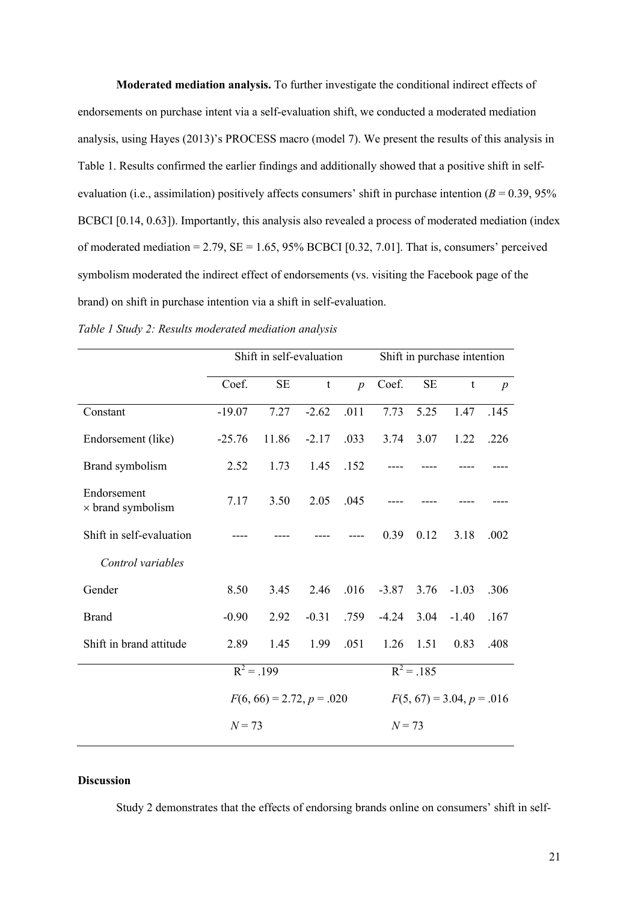**Moderated mediation analysis.** To further investigate the conditional indirect effects of endorsements on purchase intent via a self-evaluation shift, we conducted a moderated mediation analysis, using Hayes (2013)'s PROCESS macro (model 7). We present the results of this analysis in Table 1. Results confirmed the earlier findings and additionally showed that a positive shift in selfevaluation (i.e., assimilation) positively affects consumers' shift in purchase intention  $(B = 0.39, 95\%$ BCBCI [0.14, 0.63]). Importantly, this analysis also revealed a process of moderated mediation (index of moderated mediation =  $2.79$ ,  $SE = 1.65$ ,  $95\%$  BCBCI [0.32, 7.01]. That is, consumers' perceived symbolism moderated the indirect effect of endorsements (vs. visiting the Facebook page of the brand) on shift in purchase intention via a shift in self-evaluation.

|                                         | Shift in self-evaluation    | Shift in purchase intention |             |                  |                             |          |         |                  |
|-----------------------------------------|-----------------------------|-----------------------------|-------------|------------------|-----------------------------|----------|---------|------------------|
|                                         | Coef.                       | $\rm SE$                    | $\mathbf t$ | $\boldsymbol{p}$ | Coef.                       | $\rm SE$ | t       | $\boldsymbol{p}$ |
| Constant                                | $-19.07$                    | 7.27                        | $-2.62$     | .011             | 7.73                        | 5.25     | 1.47    | .145             |
| Endorsement (like)                      | $-25.76$                    | 11.86                       | $-2.17$     | .033             | 3.74                        | 3.07     | 1.22    | .226             |
| Brand symbolism                         | 2.52                        | 1.73                        | 1.45        | .152             |                             |          |         |                  |
| Endorsement<br>$\times$ brand symbolism | 7.17                        | 3.50                        | 2.05        | .045             |                             |          |         |                  |
| Shift in self-evaluation                |                             |                             |             |                  | 0.39                        | 0.12     | 3.18    | .002             |
| Control variables                       |                             |                             |             |                  |                             |          |         |                  |
| Gender                                  | 8.50                        | 3.45                        | 2.46        | .016             | $-3.87$                     | 3.76     | $-1.03$ | .306             |
| <b>Brand</b>                            | $-0.90$                     | 2.92                        | $-0.31$     | .759             | $-4.24$                     | 3.04     | $-1.40$ | .167             |
| Shift in brand attitude                 | 2.89                        | 1.45                        | 1.99        | .051             | 1.26                        | 1.51     | 0.83    | .408             |
|                                         | $R^2 = .199$                |                             |             |                  | $R^2 = .185$                |          |         |                  |
|                                         | $F(6, 66) = 2.72, p = .020$ |                             |             |                  | $F(5, 67) = 3.04, p = .016$ |          |         |                  |
|                                         | $N = 73$                    |                             |             |                  | $N = 73$                    |          |         |                  |

| Table 1 Study 2: Results moderated mediation analysis |  |  |  |  |  |  |  |  |
|-------------------------------------------------------|--|--|--|--|--|--|--|--|
|-------------------------------------------------------|--|--|--|--|--|--|--|--|

## **Discussion**

Study 2 demonstrates that the effects of endorsing brands online on consumers' shift in self-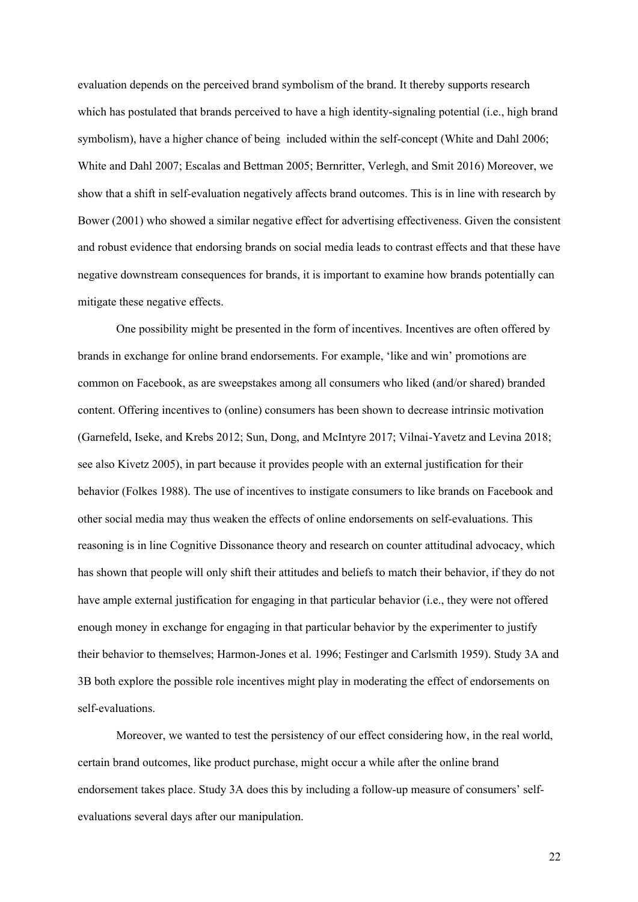evaluation depends on the perceived brand symbolism of the brand. It thereby supports research which has postulated that brands perceived to have a high identity-signaling potential (i.e., high brand symbolism), have a higher chance of being included within the self-concept (White and Dahl 2006; White and Dahl 2007; Escalas and Bettman 2005; Bernritter, Verlegh, and Smit 2016) Moreover, we show that a shift in self-evaluation negatively affects brand outcomes. This is in line with research by Bower (2001) who showed a similar negative effect for advertising effectiveness. Given the consistent and robust evidence that endorsing brands on social media leads to contrast effects and that these have negative downstream consequences for brands, it is important to examine how brands potentially can mitigate these negative effects.

One possibility might be presented in the form of incentives. Incentives are often offered by brands in exchange for online brand endorsements. For example, 'like and win' promotions are common on Facebook, as are sweepstakes among all consumers who liked (and/or shared) branded content. Offering incentives to (online) consumers has been shown to decrease intrinsic motivation (Garnefeld, Iseke, and Krebs 2012; Sun, Dong, and McIntyre 2017; Vilnai-Yavetz and Levina 2018; see also Kivetz 2005), in part because it provides people with an external justification for their behavior (Folkes 1988). The use of incentives to instigate consumers to like brands on Facebook and other social media may thus weaken the effects of online endorsements on self-evaluations. This reasoning is in line Cognitive Dissonance theory and research on counter attitudinal advocacy, which has shown that people will only shift their attitudes and beliefs to match their behavior, if they do not have ample external justification for engaging in that particular behavior (i.e., they were not offered enough money in exchange for engaging in that particular behavior by the experimenter to justify their behavior to themselves; Harmon-Jones et al. 1996; Festinger and Carlsmith 1959). Study 3A and 3B both explore the possible role incentives might play in moderating the effect of endorsements on self-evaluations.

Moreover, we wanted to test the persistency of our effect considering how, in the real world, certain brand outcomes, like product purchase, might occur a while after the online brand endorsement takes place. Study 3A does this by including a follow-up measure of consumers' selfevaluations several days after our manipulation.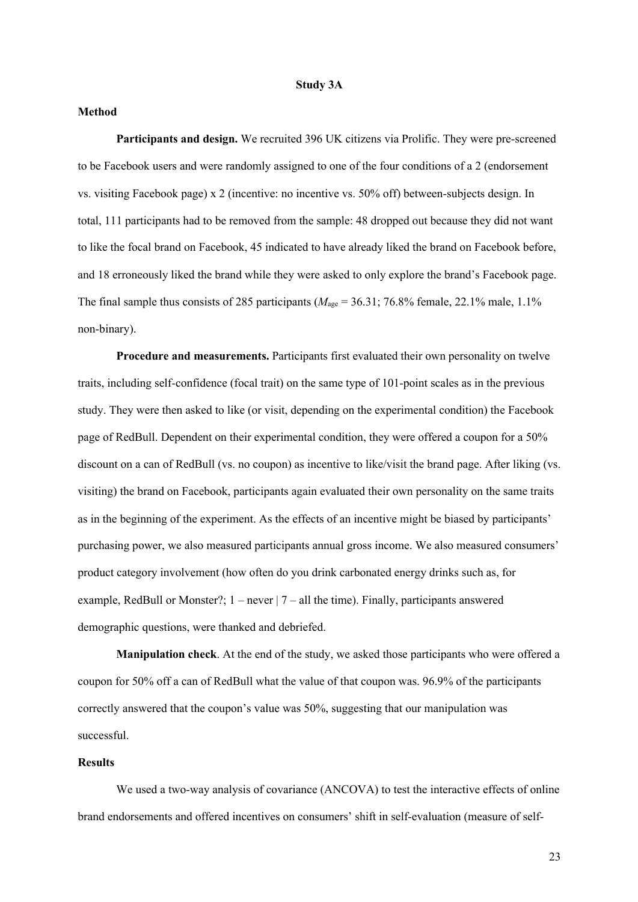#### **Study 3A**

#### **Method**

**Participants and design.** We recruited 396 UK citizens via Prolific. They were pre-screened to be Facebook users and were randomly assigned to one of the four conditions of a 2 (endorsement vs. visiting Facebook page) x 2 (incentive: no incentive vs. 50% off) between-subjects design. In total, 111 participants had to be removed from the sample: 48 dropped out because they did not want to like the focal brand on Facebook, 45 indicated to have already liked the brand on Facebook before, and 18 erroneously liked the brand while they were asked to only explore the brand's Facebook page. The final sample thus consists of 285 participants ( $M_{\text{age}} = 36.31$ ; 76.8% female, 22.1% male, 1.1% non-binary).

**Procedure and measurements.** Participants first evaluated their own personality on twelve traits, including self-confidence (focal trait) on the same type of 101-point scales as in the previous study. They were then asked to like (or visit, depending on the experimental condition) the Facebook page of RedBull. Dependent on their experimental condition, they were offered a coupon for a 50% discount on a can of RedBull (vs. no coupon) as incentive to like/visit the brand page. After liking (vs. visiting) the brand on Facebook, participants again evaluated their own personality on the same traits as in the beginning of the experiment. As the effects of an incentive might be biased by participants' purchasing power, we also measured participants annual gross income. We also measured consumers' product category involvement (how often do you drink carbonated energy drinks such as, for example, RedBull or Monster?;  $1 - never \mid 7 - all$  the time). Finally, participants answered demographic questions, were thanked and debriefed.

**Manipulation check**. At the end of the study, we asked those participants who were offered a coupon for 50% off a can of RedBull what the value of that coupon was. 96.9% of the participants correctly answered that the coupon's value was 50%, suggesting that our manipulation was successful.

## **Results**

We used a two-way analysis of covariance (ANCOVA) to test the interactive effects of online brand endorsements and offered incentives on consumers' shift in self-evaluation (measure of self-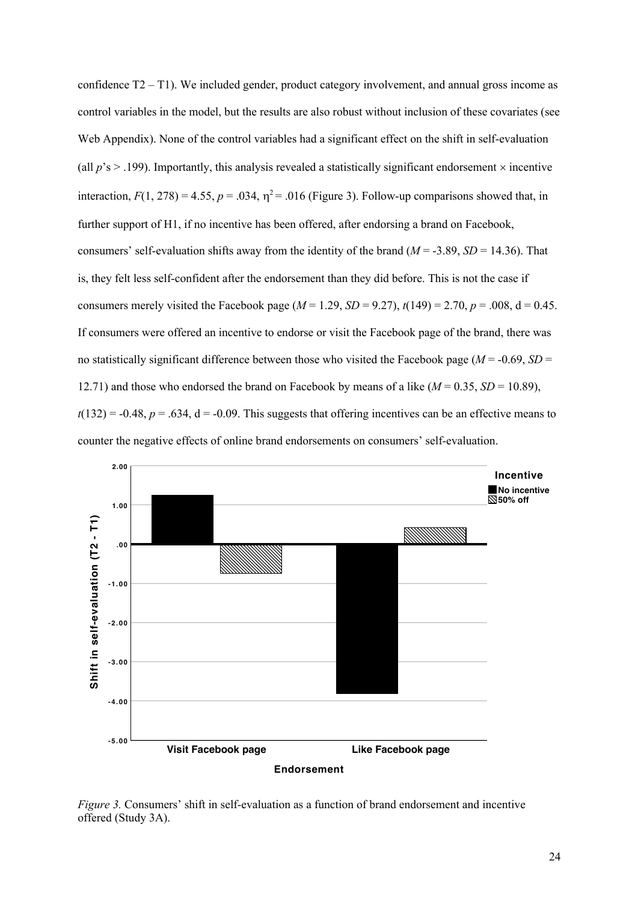confidence T2 – T1). We included gender, product category involvement, and annual gross income as control variables in the model, but the results are also robust without inclusion of these covariates (see Web Appendix). None of the control variables had a significant effect on the shift in self-evaluation (all  $p$ 's  $>$  .199). Importantly, this analysis revealed a statistically significant endorsement  $\times$  incentive interaction,  $F(1, 278) = 4.55$ ,  $p = .034$ ,  $\eta^2 = .016$  (Figure 3). Follow-up comparisons showed that, in further support of H1, if no incentive has been offered, after endorsing a brand on Facebook, consumers' self-evaluation shifts away from the identity of the brand ( $M = -3.89$ ,  $SD = 14.36$ ). That is, they felt less self-confident after the endorsement than they did before. This is not the case if consumers merely visited the Facebook page ( $M = 1.29$ ,  $SD = 9.27$ ),  $t(149) = 2.70$ ,  $p = .008$ ,  $d = 0.45$ . If consumers were offered an incentive to endorse or visit the Facebook page of the brand, there was no statistically significant difference between those who visited the Facebook page ( $M = -0.69$ ,  $SD =$ 12.71) and those who endorsed the brand on Facebook by means of a like  $(M = 0.35, SD = 10.89)$ ,  $t(132) = -0.48$ ,  $p = .634$ ,  $d = -0.09$ . This suggests that offering incentives can be an effective means to counter the negative effects of online brand endorsements on consumers' self-evaluation.



*Figure 3.* Consumers' shift in self-evaluation as a function of brand endorsement and incentive offered (Study 3A).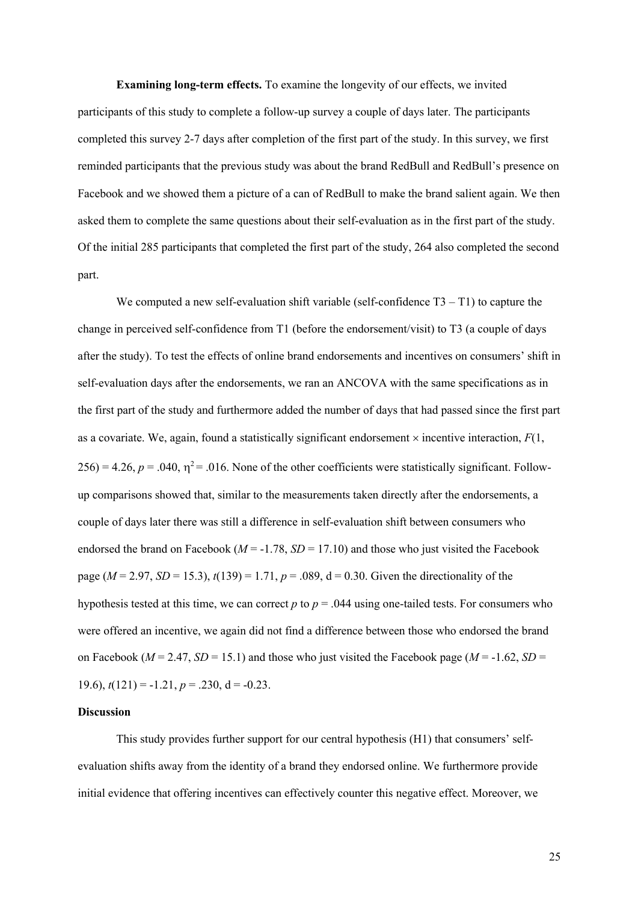**Examining long-term effects.** To examine the longevity of our effects, we invited participants of this study to complete a follow-up survey a couple of days later. The participants completed this survey 2-7 days after completion of the first part of the study. In this survey, we first reminded participants that the previous study was about the brand RedBull and RedBull's presence on Facebook and we showed them a picture of a can of RedBull to make the brand salient again. We then asked them to complete the same questions about their self-evaluation as in the first part of the study. Of the initial 285 participants that completed the first part of the study, 264 also completed the second part.

We computed a new self-evaluation shift variable (self-confidence  $T3 - T1$ ) to capture the change in perceived self-confidence from T1 (before the endorsement/visit) to T3 (a couple of days after the study). To test the effects of online brand endorsements and incentives on consumers' shift in self-evaluation days after the endorsements, we ran an ANCOVA with the same specifications as in the first part of the study and furthermore added the number of days that had passed since the first part as a covariate. We, again, found a statistically significant endorsement  $\times$  incentive interaction,  $F(1)$ ,  $256$ ) = 4.26,  $p = .040$ ,  $\eta^2$  = .016. None of the other coefficients were statistically significant. Followup comparisons showed that, similar to the measurements taken directly after the endorsements, a couple of days later there was still a difference in self-evaluation shift between consumers who endorsed the brand on Facebook ( $M = -1.78$ ,  $SD = 17.10$ ) and those who just visited the Facebook page ( $M = 2.97$ ,  $SD = 15.3$ ),  $t(139) = 1.71$ ,  $p = .089$ ,  $d = 0.30$ . Given the directionality of the hypothesis tested at this time, we can correct  $p$  to  $p = 0.044$  using one-tailed tests. For consumers who were offered an incentive, we again did not find a difference between those who endorsed the brand on Facebook ( $M = 2.47$ ,  $SD = 15.1$ ) and those who just visited the Facebook page ( $M = -1.62$ ,  $SD =$ 19.6),  $t(121) = -1.21$ ,  $p = .230$ ,  $d = -0.23$ .

#### **Discussion**

This study provides further support for our central hypothesis (H1) that consumers' selfevaluation shifts away from the identity of a brand they endorsed online. We furthermore provide initial evidence that offering incentives can effectively counter this negative effect. Moreover, we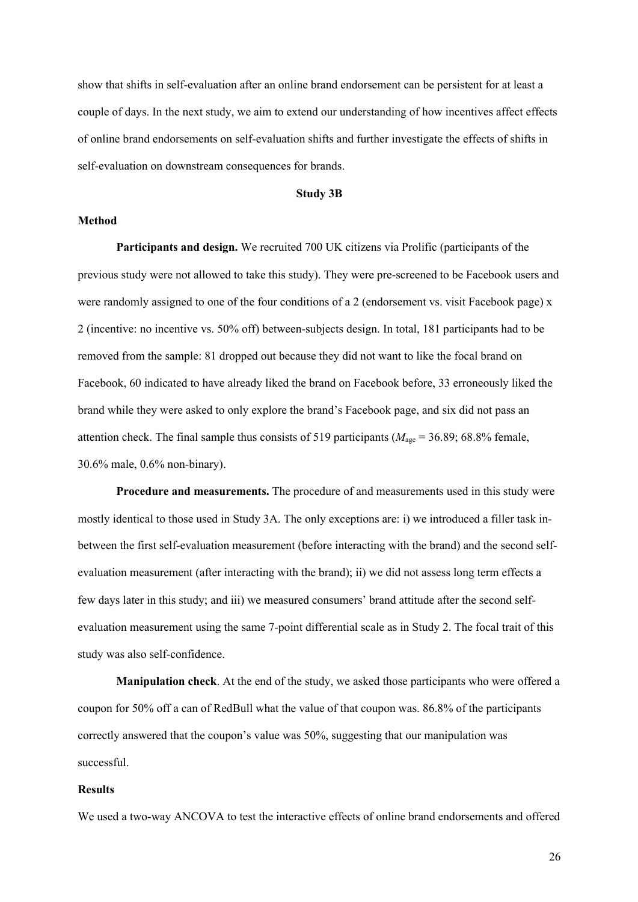show that shifts in self-evaluation after an online brand endorsement can be persistent for at least a couple of days. In the next study, we aim to extend our understanding of how incentives affect effects of online brand endorsements on self-evaluation shifts and further investigate the effects of shifts in self-evaluation on downstream consequences for brands.

#### **Study 3B**

#### **Method**

**Participants and design.** We recruited 700 UK citizens via Prolific (participants of the previous study were not allowed to take this study). They were pre-screened to be Facebook users and were randomly assigned to one of the four conditions of a 2 (endorsement vs. visit Facebook page) x 2 (incentive: no incentive vs. 50% off) between-subjects design. In total, 181 participants had to be removed from the sample: 81 dropped out because they did not want to like the focal brand on Facebook, 60 indicated to have already liked the brand on Facebook before, 33 erroneously liked the brand while they were asked to only explore the brand's Facebook page, and six did not pass an attention check. The final sample thus consists of 519 participants ( $M_{\text{age}} = 36.89$ ; 68.8% female, 30.6% male, 0.6% non-binary).

**Procedure and measurements.** The procedure of and measurements used in this study were mostly identical to those used in Study 3A. The only exceptions are: i) we introduced a filler task inbetween the first self-evaluation measurement (before interacting with the brand) and the second selfevaluation measurement (after interacting with the brand); ii) we did not assess long term effects a few days later in this study; and iii) we measured consumers' brand attitude after the second selfevaluation measurement using the same 7-point differential scale as in Study 2. The focal trait of this study was also self-confidence.

**Manipulation check**. At the end of the study, we asked those participants who were offered a coupon for 50% off a can of RedBull what the value of that coupon was. 86.8% of the participants correctly answered that the coupon's value was 50%, suggesting that our manipulation was successful.

#### **Results**

We used a two-way ANCOVA to test the interactive effects of online brand endorsements and offered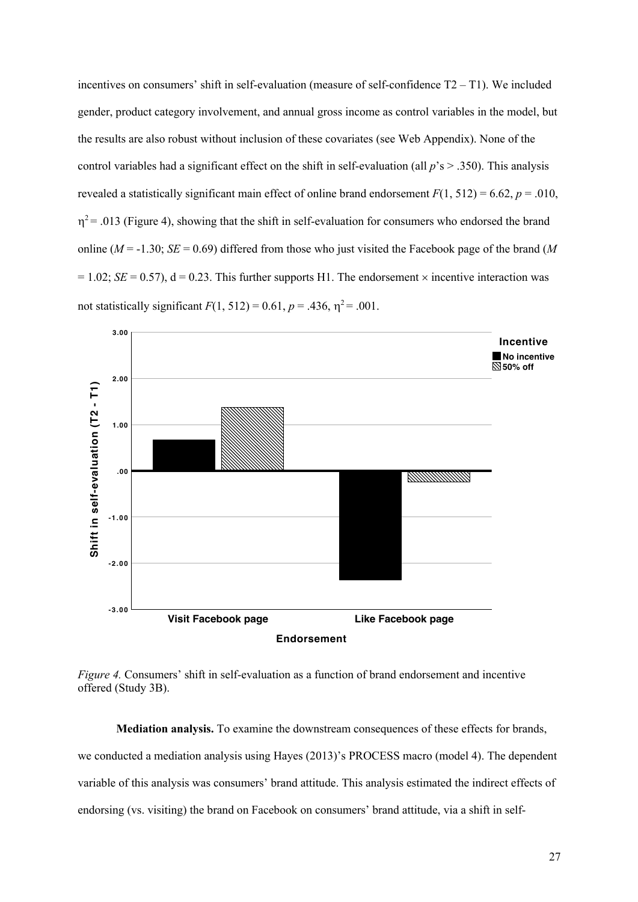incentives on consumers' shift in self-evaluation (measure of self-confidence  $T2 - T1$ ). We included gender, product category involvement, and annual gross income as control variables in the model, but the results are also robust without inclusion of these covariates (see Web Appendix). None of the control variables had a significant effect on the shift in self-evaluation (all *p*'s > .350). This analysis revealed a statistically significant main effect of online brand endorsement  $F(1, 512) = 6.62$ ,  $p = .010$ ,  $\eta^2$  = .013 (Figure 4), showing that the shift in self-evaluation for consumers who endorsed the brand online ( $M = -1.30$ ; *SE* = 0.69) differed from those who just visited the Facebook page of the brand (*M*  $= 1.02$ ; *SE* = 0.57), d = 0.23. This further supports H1. The endorsement  $\times$  incentive interaction was not statistically significant  $F(1, 512) = 0.61$ ,  $p = .436$ ,  $\eta^2 = .001$ .



*Figure 4.* Consumers' shift in self-evaluation as a function of brand endorsement and incentive offered (Study 3B).

**Mediation analysis.** To examine the downstream consequences of these effects for brands, we conducted a mediation analysis using Hayes (2013)'s PROCESS macro (model 4). The dependent variable of this analysis was consumers' brand attitude. This analysis estimated the indirect effects of endorsing (vs. visiting) the brand on Facebook on consumers' brand attitude, via a shift in self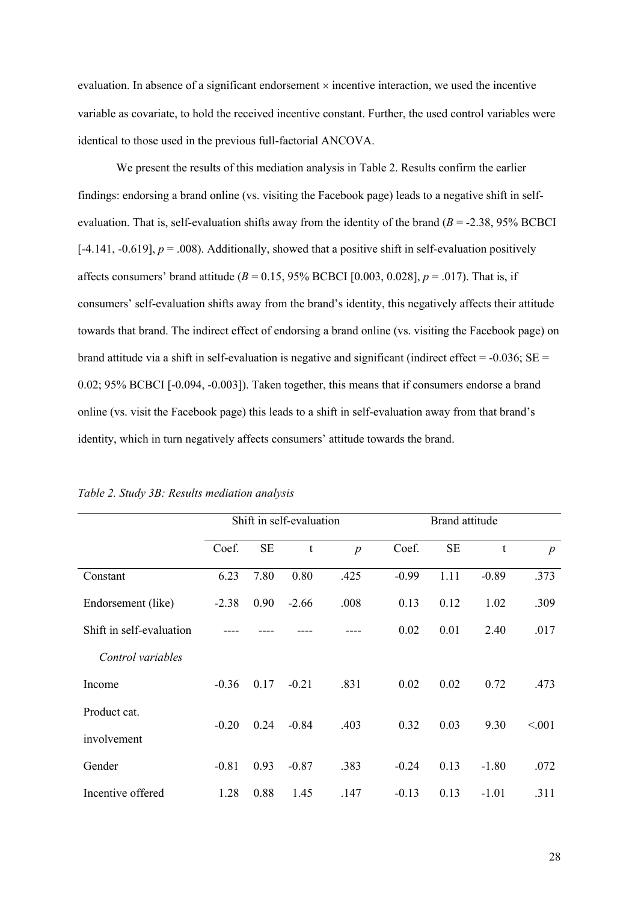evaluation. In absence of a significant endorsement  $\times$  incentive interaction, we used the incentive variable as covariate, to hold the received incentive constant. Further, the used control variables were identical to those used in the previous full-factorial ANCOVA.

We present the results of this mediation analysis in Table 2. Results confirm the earlier findings: endorsing a brand online (vs. visiting the Facebook page) leads to a negative shift in selfevaluation. That is, self-evaluation shifts away from the identity of the brand (*B* = -2.38, 95% BCBCI  $[-4.141, -0.619]$ ,  $p = .008$ ). Additionally, showed that a positive shift in self-evaluation positively affects consumers' brand attitude ( $B = 0.15$ , 95% BCBCI [0.003, 0.028],  $p = .017$ ). That is, if consumers' self-evaluation shifts away from the brand's identity, this negatively affects their attitude towards that brand. The indirect effect of endorsing a brand online (vs. visiting the Facebook page) on brand attitude via a shift in self-evaluation is negative and significant (indirect effect =  $-0.036$ ; SE = 0.02; 95% BCBCI [-0.094, -0.003]). Taken together, this means that if consumers endorse a brand online (vs. visit the Facebook page) this leads to a shift in self-evaluation away from that brand's identity, which in turn negatively affects consumers' attitude towards the brand.

|                          | Shift in self-evaluation |           |             |                  | Brand attitude |           |         |                  |
|--------------------------|--------------------------|-----------|-------------|------------------|----------------|-----------|---------|------------------|
|                          | Coef.                    | <b>SE</b> | $\mathbf t$ | $\boldsymbol{p}$ | Coef.          | <b>SE</b> | t       | $\boldsymbol{p}$ |
| Constant                 | 6.23                     | 7.80      | 0.80        | .425             | $-0.99$        | 1.11      | $-0.89$ | .373             |
| Endorsement (like)       | $-2.38$                  | 0.90      | $-2.66$     | .008             | 0.13           | 0.12      | 1.02    | .309             |
| Shift in self-evaluation |                          |           |             |                  | 0.02           | 0.01      | 2.40    | .017             |
| Control variables        |                          |           |             |                  |                |           |         |                  |
| Income                   | $-0.36$                  | 0.17      | $-0.21$     | .831             | 0.02           | 0.02      | 0.72    | .473             |
| Product cat.             |                          |           |             |                  |                |           |         |                  |
| involvement              | $-0.20$                  | 0.24      | $-0.84$     | .403             | 0.32           | 0.03      | 9.30    | < 0.001          |
| Gender                   | $-0.81$                  | 0.93      | $-0.87$     | .383             | $-0.24$        | 0.13      | $-1.80$ | .072             |
| Incentive offered        | 1.28                     | 0.88      | 1.45        | .147             | $-0.13$        | 0.13      | $-1.01$ | .311             |

*Table 2. Study 3B: Results mediation analysis*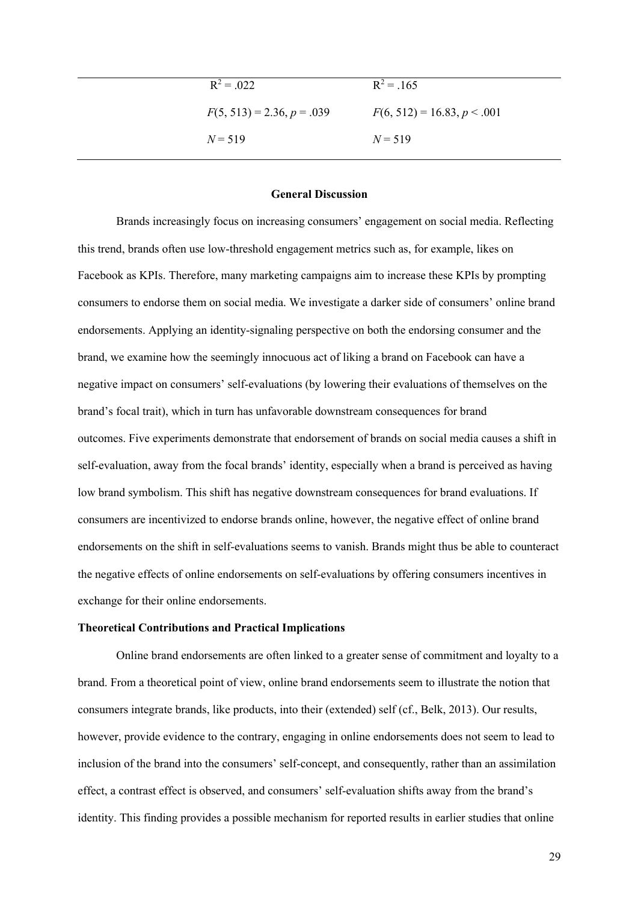| $R^2 = .022$                 | $R^2 = .165$                  |
|------------------------------|-------------------------------|
| $F(5, 513) = 2.36, p = .039$ | $F(6, 512) = 16.83, p < .001$ |
| $N = 519$                    | $N = 519$                     |

#### **General Discussion**

Brands increasingly focus on increasing consumers' engagement on social media. Reflecting this trend, brands often use low-threshold engagement metrics such as, for example, likes on Facebook as KPIs. Therefore, many marketing campaigns aim to increase these KPIs by prompting consumers to endorse them on social media. We investigate a darker side of consumers' online brand endorsements. Applying an identity-signaling perspective on both the endorsing consumer and the brand, we examine how the seemingly innocuous act of liking a brand on Facebook can have a negative impact on consumers' self-evaluations (by lowering their evaluations of themselves on the brand's focal trait), which in turn has unfavorable downstream consequences for brand outcomes. Five experiments demonstrate that endorsement of brands on social media causes a shift in self-evaluation, away from the focal brands' identity, especially when a brand is perceived as having low brand symbolism. This shift has negative downstream consequences for brand evaluations. If consumers are incentivized to endorse brands online, however, the negative effect of online brand endorsements on the shift in self-evaluations seems to vanish. Brands might thus be able to counteract the negative effects of online endorsements on self-evaluations by offering consumers incentives in exchange for their online endorsements.

#### **Theoretical Contributions and Practical Implications**

Online brand endorsements are often linked to a greater sense of commitment and loyalty to a brand. From a theoretical point of view, online brand endorsements seem to illustrate the notion that consumers integrate brands, like products, into their (extended) self (cf., Belk, 2013). Our results, however, provide evidence to the contrary, engaging in online endorsements does not seem to lead to inclusion of the brand into the consumers' self-concept, and consequently, rather than an assimilation effect, a contrast effect is observed, and consumers' self-evaluation shifts away from the brand's identity. This finding provides a possible mechanism for reported results in earlier studies that online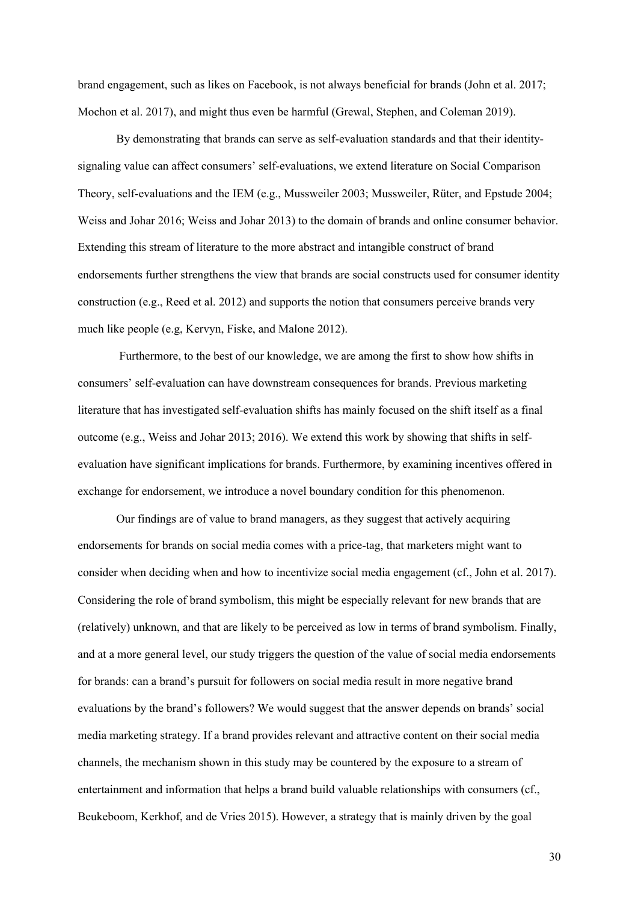brand engagement, such as likes on Facebook, is not always beneficial for brands (John et al. 2017; Mochon et al. 2017), and might thus even be harmful (Grewal, Stephen, and Coleman 2019).

By demonstrating that brands can serve as self-evaluation standards and that their identitysignaling value can affect consumers' self-evaluations, we extend literature on Social Comparison Theory, self-evaluations and the IEM (e.g., Mussweiler 2003; Mussweiler, Rüter, and Epstude 2004; Weiss and Johar 2016; Weiss and Johar 2013) to the domain of brands and online consumer behavior. Extending this stream of literature to the more abstract and intangible construct of brand endorsements further strengthens the view that brands are social constructs used for consumer identity construction (e.g., Reed et al. 2012) and supports the notion that consumers perceive brands very much like people (e.g, Kervyn, Fiske, and Malone 2012).

Furthermore, to the best of our knowledge, we are among the first to show how shifts in consumers' self-evaluation can have downstream consequences for brands. Previous marketing literature that has investigated self-evaluation shifts has mainly focused on the shift itself as a final outcome (e.g., Weiss and Johar 2013; 2016). We extend this work by showing that shifts in selfevaluation have significant implications for brands. Furthermore, by examining incentives offered in exchange for endorsement, we introduce a novel boundary condition for this phenomenon.

Our findings are of value to brand managers, as they suggest that actively acquiring endorsements for brands on social media comes with a price-tag, that marketers might want to consider when deciding when and how to incentivize social media engagement (cf., John et al. 2017). Considering the role of brand symbolism, this might be especially relevant for new brands that are (relatively) unknown, and that are likely to be perceived as low in terms of brand symbolism. Finally, and at a more general level, our study triggers the question of the value of social media endorsements for brands: can a brand's pursuit for followers on social media result in more negative brand evaluations by the brand's followers? We would suggest that the answer depends on brands' social media marketing strategy. If a brand provides relevant and attractive content on their social media channels, the mechanism shown in this study may be countered by the exposure to a stream of entertainment and information that helps a brand build valuable relationships with consumers (cf., Beukeboom, Kerkhof, and de Vries 2015). However, a strategy that is mainly driven by the goal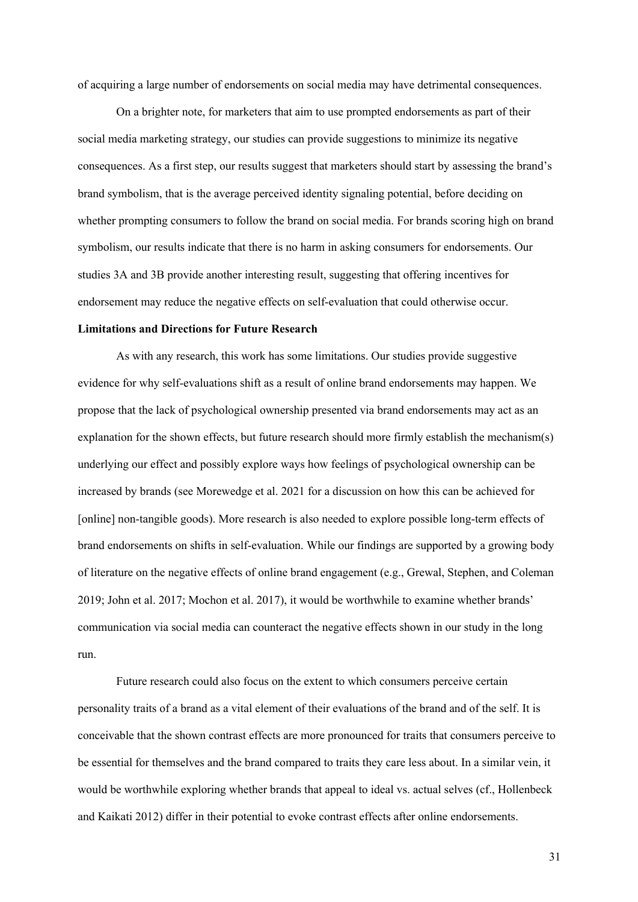of acquiring a large number of endorsements on social media may have detrimental consequences.

On a brighter note, for marketers that aim to use prompted endorsements as part of their social media marketing strategy, our studies can provide suggestions to minimize its negative consequences. As a first step, our results suggest that marketers should start by assessing the brand's brand symbolism, that is the average perceived identity signaling potential, before deciding on whether prompting consumers to follow the brand on social media. For brands scoring high on brand symbolism, our results indicate that there is no harm in asking consumers for endorsements. Our studies 3A and 3B provide another interesting result, suggesting that offering incentives for endorsement may reduce the negative effects on self-evaluation that could otherwise occur.

#### **Limitations and Directions for Future Research**

As with any research, this work has some limitations. Our studies provide suggestive evidence for why self-evaluations shift as a result of online brand endorsements may happen. We propose that the lack of psychological ownership presented via brand endorsements may act as an explanation for the shown effects, but future research should more firmly establish the mechanism(s) underlying our effect and possibly explore ways how feelings of psychological ownership can be increased by brands (see Morewedge et al. 2021 for a discussion on how this can be achieved for [online] non-tangible goods). More research is also needed to explore possible long-term effects of brand endorsements on shifts in self-evaluation. While our findings are supported by a growing body of literature on the negative effects of online brand engagement (e.g., Grewal, Stephen, and Coleman 2019; John et al. 2017; Mochon et al. 2017), it would be worthwhile to examine whether brands' communication via social media can counteract the negative effects shown in our study in the long run.

Future research could also focus on the extent to which consumers perceive certain personality traits of a brand as a vital element of their evaluations of the brand and of the self. It is conceivable that the shown contrast effects are more pronounced for traits that consumers perceive to be essential for themselves and the brand compared to traits they care less about. In a similar vein, it would be worthwhile exploring whether brands that appeal to ideal vs. actual selves (cf., Hollenbeck and Kaikati 2012) differ in their potential to evoke contrast effects after online endorsements.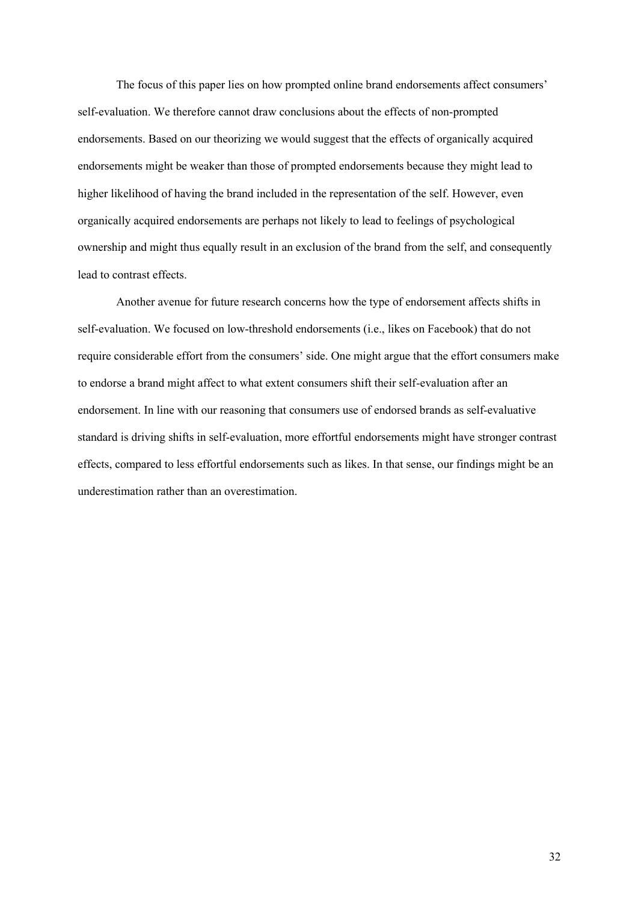The focus of this paper lies on how prompted online brand endorsements affect consumers' self-evaluation. We therefore cannot draw conclusions about the effects of non-prompted endorsements. Based on our theorizing we would suggest that the effects of organically acquired endorsements might be weaker than those of prompted endorsements because they might lead to higher likelihood of having the brand included in the representation of the self. However, even organically acquired endorsements are perhaps not likely to lead to feelings of psychological ownership and might thus equally result in an exclusion of the brand from the self, and consequently lead to contrast effects.

Another avenue for future research concerns how the type of endorsement affects shifts in self-evaluation. We focused on low-threshold endorsements (i.e., likes on Facebook) that do not require considerable effort from the consumers' side. One might argue that the effort consumers make to endorse a brand might affect to what extent consumers shift their self-evaluation after an endorsement. In line with our reasoning that consumers use of endorsed brands as self-evaluative standard is driving shifts in self-evaluation, more effortful endorsements might have stronger contrast effects, compared to less effortful endorsements such as likes. In that sense, our findings might be an underestimation rather than an overestimation.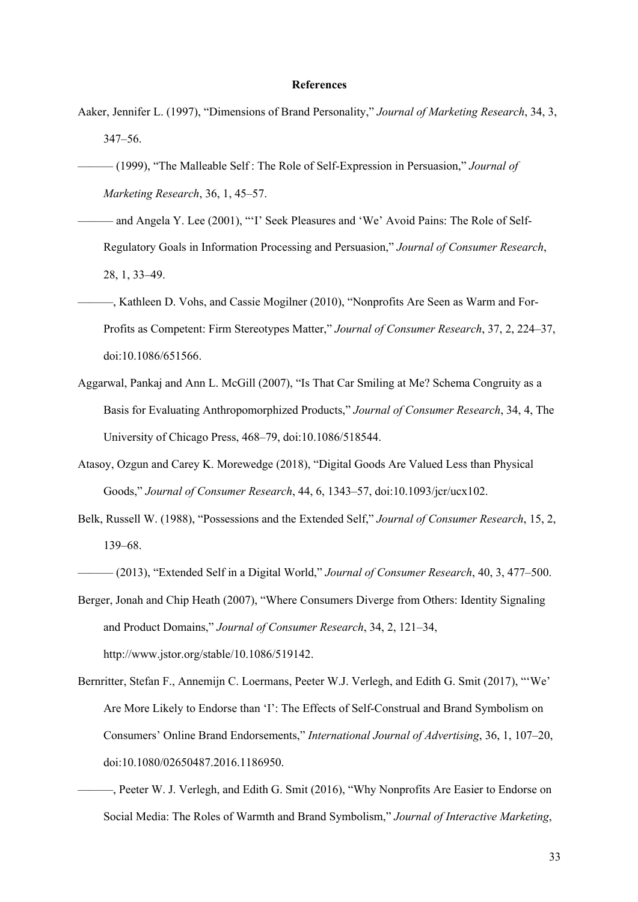#### **References**

- Aaker, Jennifer L. (1997), "Dimensions of Brand Personality," *Journal of Marketing Research*, 34, 3, 347–56.
- ——— (1999), "The Malleable Self : The Role of Self-Expression in Persuasion," *Journal of Marketing Research*, 36, 1, 45–57.
- ——— and Angela Y. Lee (2001), "'I' Seek Pleasures and 'We' Avoid Pains: The Role of Self-Regulatory Goals in Information Processing and Persuasion," *Journal of Consumer Research*, 28, 1, 33–49.
- ———, Kathleen D. Vohs, and Cassie Mogilner (2010), "Nonprofits Are Seen as Warm and For-Profits as Competent: Firm Stereotypes Matter," *Journal of Consumer Research*, 37, 2, 224–37, doi:10.1086/651566.
- Aggarwal, Pankaj and Ann L. McGill (2007), "Is That Car Smiling at Me? Schema Congruity as a Basis for Evaluating Anthropomorphized Products," *Journal of Consumer Research*, 34, 4, The University of Chicago Press, 468–79, doi:10.1086/518544.
- Atasoy, Ozgun and Carey K. Morewedge (2018), "Digital Goods Are Valued Less than Physical Goods," *Journal of Consumer Research*, 44, 6, 1343–57, doi:10.1093/jcr/ucx102.
- Belk, Russell W. (1988), "Possessions and the Extended Self," *Journal of Consumer Research*, 15, 2, 139–68.

- Berger, Jonah and Chip Heath (2007), "Where Consumers Diverge from Others: Identity Signaling and Product Domains," *Journal of Consumer Research*, 34, 2, 121–34, http://www.jstor.org/stable/10.1086/519142.
- Bernritter, Stefan F., Annemijn C. Loermans, Peeter W.J. Verlegh, and Edith G. Smit (2017), "'We' Are More Likely to Endorse than 'I': The Effects of Self-Construal and Brand Symbolism on Consumers' Online Brand Endorsements," *International Journal of Advertising*, 36, 1, 107–20, doi:10.1080/02650487.2016.1186950.
	- ———, Peeter W. J. Verlegh, and Edith G. Smit (2016), "Why Nonprofits Are Easier to Endorse on Social Media: The Roles of Warmth and Brand Symbolism," *Journal of Interactive Marketing*,

<sup>———</sup> (2013), "Extended Self in a Digital World," *Journal of Consumer Research*, 40, 3, 477–500.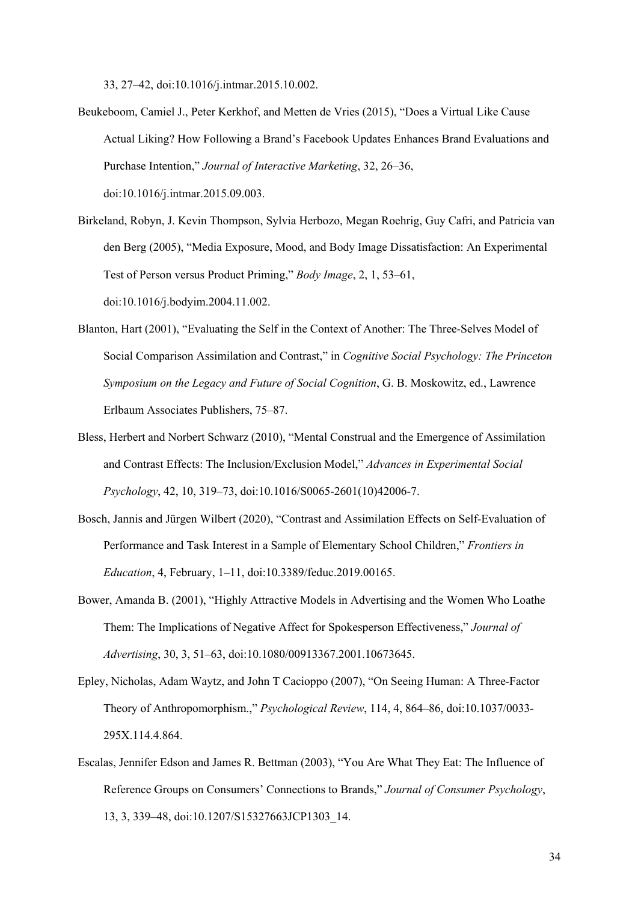33, 27–42, doi:10.1016/j.intmar.2015.10.002.

- Beukeboom, Camiel J., Peter Kerkhof, and Metten de Vries (2015), "Does a Virtual Like Cause Actual Liking? How Following a Brand's Facebook Updates Enhances Brand Evaluations and Purchase Intention," *Journal of Interactive Marketing*, 32, 26–36, doi:10.1016/j.intmar.2015.09.003.
- Birkeland, Robyn, J. Kevin Thompson, Sylvia Herbozo, Megan Roehrig, Guy Cafri, and Patricia van den Berg (2005), "Media Exposure, Mood, and Body Image Dissatisfaction: An Experimental Test of Person versus Product Priming," *Body Image*, 2, 1, 53–61, doi:10.1016/j.bodyim.2004.11.002.
- Blanton, Hart (2001), "Evaluating the Self in the Context of Another: The Three-Selves Model of Social Comparison Assimilation and Contrast," in *Cognitive Social Psychology: The Princeton Symposium on the Legacy and Future of Social Cognition*, G. B. Moskowitz, ed., Lawrence Erlbaum Associates Publishers, 75–87.
- Bless, Herbert and Norbert Schwarz (2010), "Mental Construal and the Emergence of Assimilation and Contrast Effects: The Inclusion/Exclusion Model," *Advances in Experimental Social Psychology*, 42, 10, 319–73, doi:10.1016/S0065-2601(10)42006-7.
- Bosch, Jannis and Jürgen Wilbert (2020), "Contrast and Assimilation Effects on Self-Evaluation of Performance and Task Interest in a Sample of Elementary School Children," *Frontiers in Education*, 4, February, 1–11, doi:10.3389/feduc.2019.00165.
- Bower, Amanda B. (2001), "Highly Attractive Models in Advertising and the Women Who Loathe Them: The Implications of Negative Affect for Spokesperson Effectiveness," *Journal of Advertising*, 30, 3, 51–63, doi:10.1080/00913367.2001.10673645.
- Epley, Nicholas, Adam Waytz, and John T Cacioppo (2007), "On Seeing Human: A Three-Factor Theory of Anthropomorphism.," *Psychological Review*, 114, 4, 864–86, doi:10.1037/0033- 295X.114.4.864.
- Escalas, Jennifer Edson and James R. Bettman (2003), "You Are What They Eat: The Influence of Reference Groups on Consumers' Connections to Brands," *Journal of Consumer Psychology*, 13, 3, 339–48, doi:10.1207/S15327663JCP1303\_14.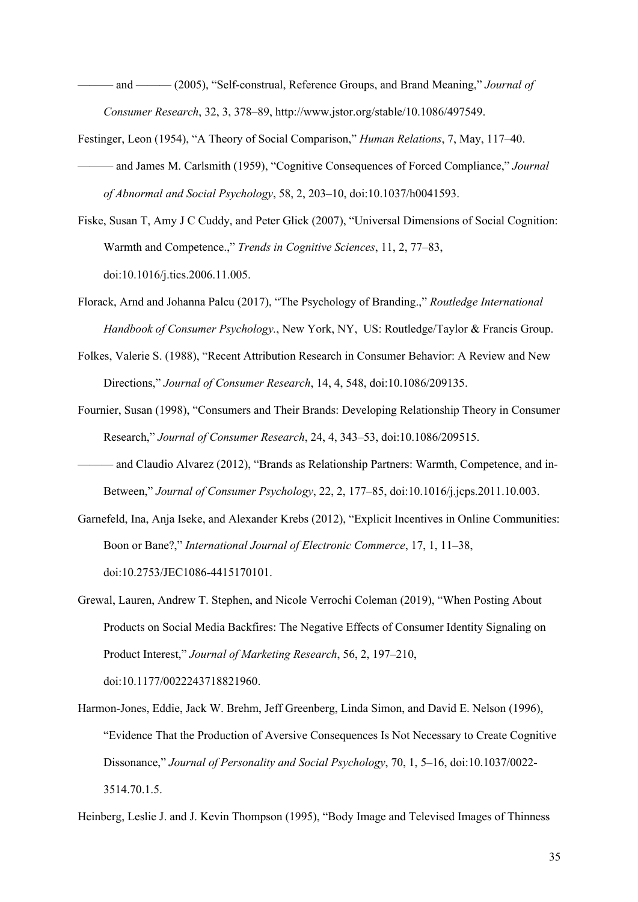——— and ——— (2005), "Self‐construal, Reference Groups, and Brand Meaning," *Journal of Consumer Research*, 32, 3, 378–89, http://www.jstor.org/stable/10.1086/497549.

- Festinger, Leon (1954), "A Theory of Social Comparison," *Human Relations*, 7, May, 117–40. ——— and James M. Carlsmith (1959), "Cognitive Consequences of Forced Compliance," *Journal of Abnormal and Social Psychology*, 58, 2, 203–10, doi:10.1037/h0041593.
- Fiske, Susan T, Amy J C Cuddy, and Peter Glick (2007), "Universal Dimensions of Social Cognition: Warmth and Competence.," *Trends in Cognitive Sciences*, 11, 2, 77–83, doi:10.1016/j.tics.2006.11.005.
- Florack, Arnd and Johanna Palcu (2017), "The Psychology of Branding.," *Routledge International Handbook of Consumer Psychology.*, New York, NY, US: Routledge/Taylor & Francis Group.
- Folkes, Valerie S. (1988), "Recent Attribution Research in Consumer Behavior: A Review and New Directions," *Journal of Consumer Research*, 14, 4, 548, doi:10.1086/209135.
- Fournier, Susan (1998), "Consumers and Their Brands: Developing Relationship Theory in Consumer Research," *Journal of Consumer Research*, 24, 4, 343–53, doi:10.1086/209515.
- ——— and Claudio Alvarez (2012), "Brands as Relationship Partners: Warmth, Competence, and in-Between," *Journal of Consumer Psychology*, 22, 2, 177–85, doi:10.1016/j.jcps.2011.10.003.
- Garnefeld, Ina, Anja Iseke, and Alexander Krebs (2012), "Explicit Incentives in Online Communities: Boon or Bane?," *International Journal of Electronic Commerce*, 17, 1, 11–38, doi:10.2753/JEC1086-4415170101.
- Grewal, Lauren, Andrew T. Stephen, and Nicole Verrochi Coleman (2019), "When Posting About Products on Social Media Backfires: The Negative Effects of Consumer Identity Signaling on Product Interest," *Journal of Marketing Research*, 56, 2, 197–210, doi:10.1177/0022243718821960.
- Harmon-Jones, Eddie, Jack W. Brehm, Jeff Greenberg, Linda Simon, and David E. Nelson (1996), "Evidence That the Production of Aversive Consequences Is Not Necessary to Create Cognitive Dissonance," *Journal of Personality and Social Psychology*, 70, 1, 5–16, doi:10.1037/0022- 3514.70.1.5.

Heinberg, Leslie J. and J. Kevin Thompson (1995), "Body Image and Televised Images of Thinness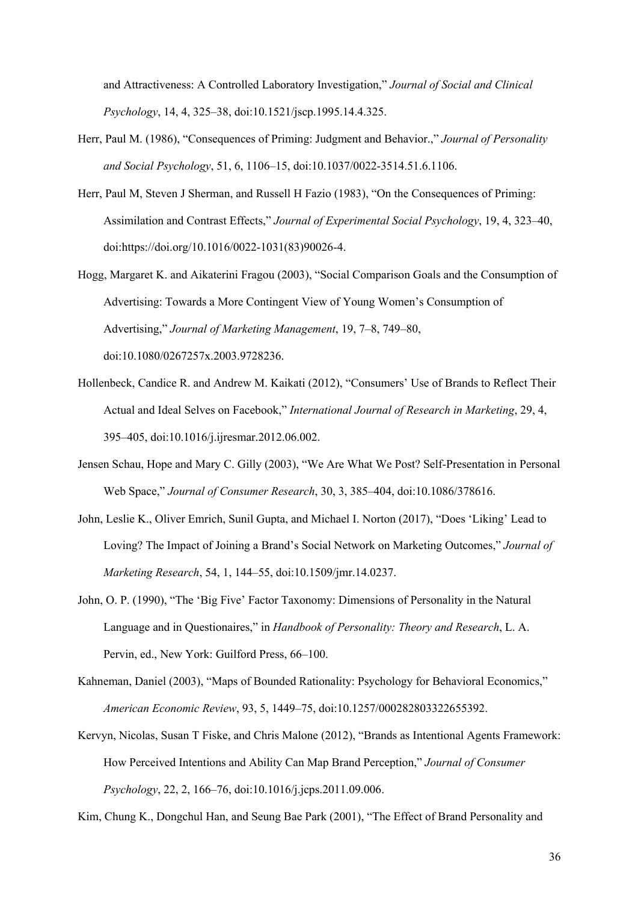and Attractiveness: A Controlled Laboratory Investigation," *Journal of Social and Clinical Psychology*, 14, 4, 325–38, doi:10.1521/jscp.1995.14.4.325.

- Herr, Paul M. (1986), "Consequences of Priming: Judgment and Behavior.," *Journal of Personality and Social Psychology*, 51, 6, 1106–15, doi:10.1037/0022-3514.51.6.1106.
- Herr, Paul M, Steven J Sherman, and Russell H Fazio (1983), "On the Consequences of Priming: Assimilation and Contrast Effects," *Journal of Experimental Social Psychology*, 19, 4, 323–40, doi:https://doi.org/10.1016/0022-1031(83)90026-4.
- Hogg, Margaret K. and Aikaterini Fragou (2003), "Social Comparison Goals and the Consumption of Advertising: Towards a More Contingent View of Young Women's Consumption of Advertising," *Journal of Marketing Management*, 19, 7–8, 749–80, doi:10.1080/0267257x.2003.9728236.
- Hollenbeck, Candice R. and Andrew M. Kaikati (2012), "Consumers' Use of Brands to Reflect Their Actual and Ideal Selves on Facebook," *International Journal of Research in Marketing*, 29, 4, 395–405, doi:10.1016/j.ijresmar.2012.06.002.
- Jensen Schau, Hope and Mary C. Gilly (2003), "We Are What We Post? Self-Presentation in Personal Web Space," *Journal of Consumer Research*, 30, 3, 385–404, doi:10.1086/378616.
- John, Leslie K., Oliver Emrich, Sunil Gupta, and Michael I. Norton (2017), "Does 'Liking' Lead to Loving? The Impact of Joining a Brand's Social Network on Marketing Outcomes," *Journal of Marketing Research*, 54, 1, 144–55, doi:10.1509/jmr.14.0237.
- John, O. P. (1990), "The 'Big Five' Factor Taxonomy: Dimensions of Personality in the Natural Language and in Questionaires," in *Handbook of Personality: Theory and Research*, L. A. Pervin, ed., New York: Guilford Press, 66–100.
- Kahneman, Daniel (2003), "Maps of Bounded Rationality: Psychology for Behavioral Economics," *American Economic Review*, 93, 5, 1449–75, doi:10.1257/000282803322655392.
- Kervyn, Nicolas, Susan T Fiske, and Chris Malone (2012), "Brands as Intentional Agents Framework: How Perceived Intentions and Ability Can Map Brand Perception," *Journal of Consumer Psychology*, 22, 2, 166–76, doi:10.1016/j.jcps.2011.09.006.

Kim, Chung K., Dongchul Han, and Seung Bae Park (2001), "The Effect of Brand Personality and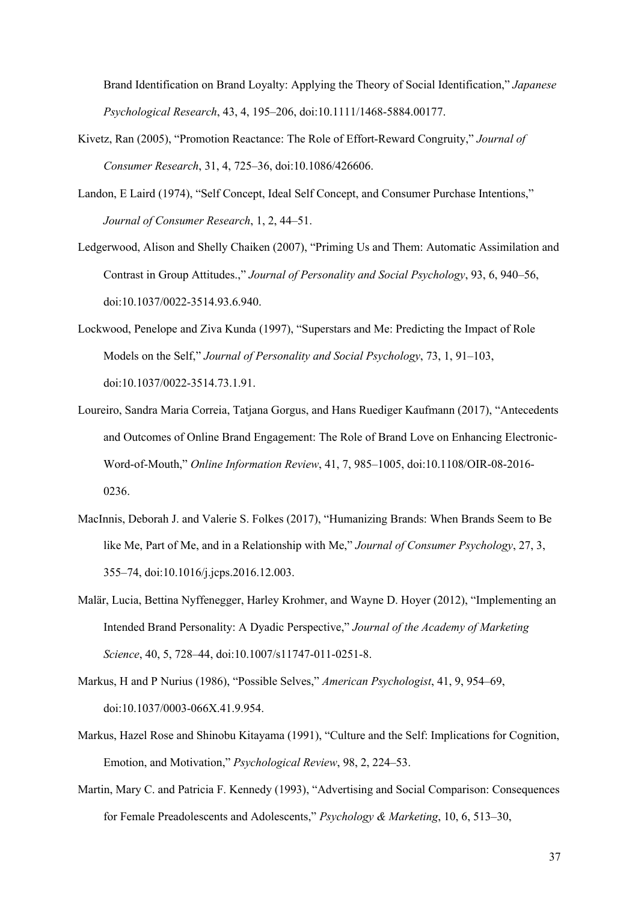Brand Identification on Brand Loyalty: Applying the Theory of Social Identification," *Japanese Psychological Research*, 43, 4, 195–206, doi:10.1111/1468-5884.00177.

- Kivetz, Ran (2005), "Promotion Reactance: The Role of Effort-Reward Congruity," *Journal of Consumer Research*, 31, 4, 725–36, doi:10.1086/426606.
- Landon, E Laird (1974), "Self Concept, Ideal Self Concept, and Consumer Purchase Intentions," *Journal of Consumer Research*, 1, 2, 44–51.
- Ledgerwood, Alison and Shelly Chaiken (2007), "Priming Us and Them: Automatic Assimilation and Contrast in Group Attitudes.," *Journal of Personality and Social Psychology*, 93, 6, 940–56, doi:10.1037/0022-3514.93.6.940.
- Lockwood, Penelope and Ziva Kunda (1997), "Superstars and Me: Predicting the Impact of Role Models on the Self," *Journal of Personality and Social Psychology*, 73, 1, 91–103, doi:10.1037/0022-3514.73.1.91.
- Loureiro, Sandra Maria Correia, Tatjana Gorgus, and Hans Ruediger Kaufmann (2017), "Antecedents and Outcomes of Online Brand Engagement: The Role of Brand Love on Enhancing Electronic-Word-of-Mouth," *Online Information Review*, 41, 7, 985–1005, doi:10.1108/OIR-08-2016- 0236.
- MacInnis, Deborah J. and Valerie S. Folkes (2017), "Humanizing Brands: When Brands Seem to Be like Me, Part of Me, and in a Relationship with Me," *Journal of Consumer Psychology*, 27, 3, 355–74, doi:10.1016/j.jcps.2016.12.003.
- Malär, Lucia, Bettina Nyffenegger, Harley Krohmer, and Wayne D. Hoyer (2012), "Implementing an Intended Brand Personality: A Dyadic Perspective," *Journal of the Academy of Marketing Science*, 40, 5, 728–44, doi:10.1007/s11747-011-0251-8.
- Markus, H and P Nurius (1986), "Possible Selves," *American Psychologist*, 41, 9, 954–69, doi:10.1037/0003-066X.41.9.954.
- Markus, Hazel Rose and Shinobu Kitayama (1991), "Culture and the Self: Implications for Cognition, Emotion, and Motivation," *Psychological Review*, 98, 2, 224–53.
- Martin, Mary C. and Patricia F. Kennedy (1993), "Advertising and Social Comparison: Consequences for Female Preadolescents and Adolescents," *Psychology & Marketing*, 10, 6, 513–30,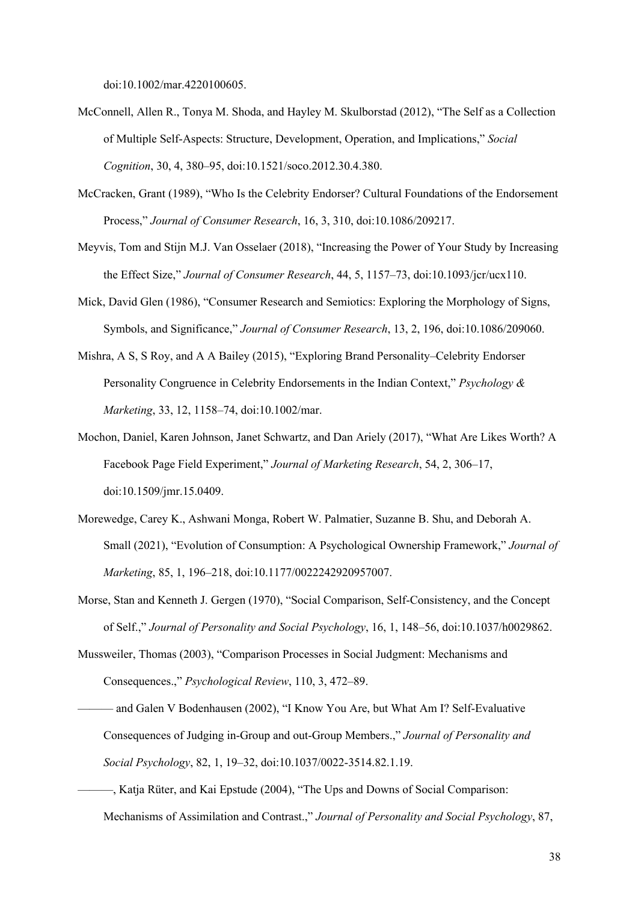doi:10.1002/mar.4220100605.

- McConnell, Allen R., Tonya M. Shoda, and Hayley M. Skulborstad (2012), "The Self as a Collection of Multiple Self-Aspects: Structure, Development, Operation, and Implications," *Social Cognition*, 30, 4, 380–95, doi:10.1521/soco.2012.30.4.380.
- McCracken, Grant (1989), "Who Is the Celebrity Endorser? Cultural Foundations of the Endorsement Process," *Journal of Consumer Research*, 16, 3, 310, doi:10.1086/209217.
- Meyvis, Tom and Stijn M.J. Van Osselaer (2018), "Increasing the Power of Your Study by Increasing the Effect Size," *Journal of Consumer Research*, 44, 5, 1157–73, doi:10.1093/jcr/ucx110.
- Mick, David Glen (1986), "Consumer Research and Semiotics: Exploring the Morphology of Signs, Symbols, and Significance," *Journal of Consumer Research*, 13, 2, 196, doi:10.1086/209060.
- Mishra, A S, S Roy, and A A Bailey (2015), "Exploring Brand Personality–Celebrity Endorser Personality Congruence in Celebrity Endorsements in the Indian Context," *Psychology & Marketing*, 33, 12, 1158–74, doi:10.1002/mar.
- Mochon, Daniel, Karen Johnson, Janet Schwartz, and Dan Ariely (2017), "What Are Likes Worth? A Facebook Page Field Experiment," *Journal of Marketing Research*, 54, 2, 306–17, doi:10.1509/jmr.15.0409.
- Morewedge, Carey K., Ashwani Monga, Robert W. Palmatier, Suzanne B. Shu, and Deborah A. Small (2021), "Evolution of Consumption: A Psychological Ownership Framework," *Journal of Marketing*, 85, 1, 196–218, doi:10.1177/0022242920957007.
- Morse, Stan and Kenneth J. Gergen (1970), "Social Comparison, Self-Consistency, and the Concept of Self.," *Journal of Personality and Social Psychology*, 16, 1, 148–56, doi:10.1037/h0029862.
- Mussweiler, Thomas (2003), "Comparison Processes in Social Judgment: Mechanisms and Consequences.," *Psychological Review*, 110, 3, 472–89.
- ——— and Galen V Bodenhausen (2002), "I Know You Are, but What Am I? Self-Evaluative Consequences of Judging in-Group and out-Group Members.," *Journal of Personality and Social Psychology*, 82, 1, 19–32, doi:10.1037/0022-3514.82.1.19.
- ———, Katja Rüter, and Kai Epstude (2004), "The Ups and Downs of Social Comparison: Mechanisms of Assimilation and Contrast.," *Journal of Personality and Social Psychology*, 87,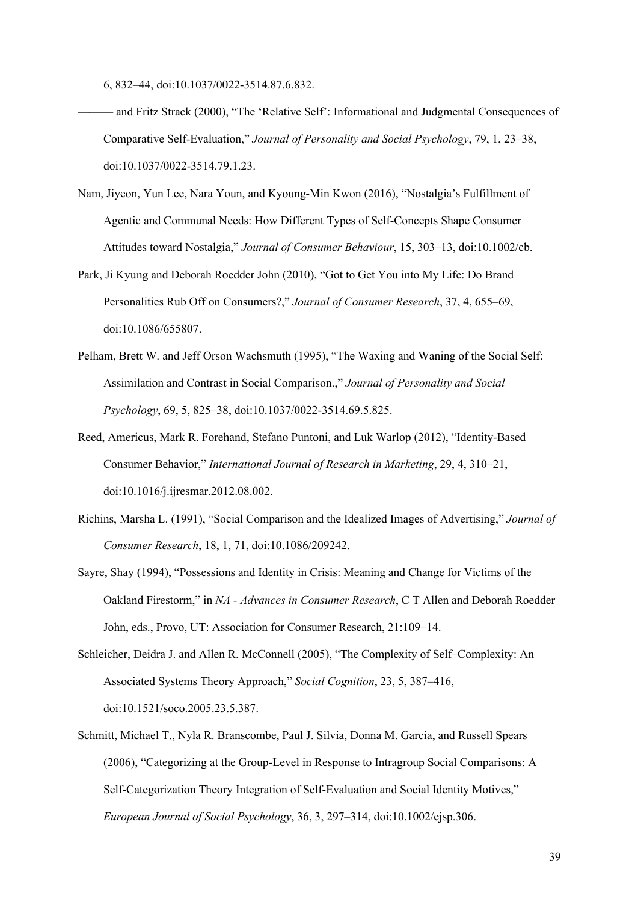6, 832–44, doi:10.1037/0022-3514.87.6.832.

- ——— and Fritz Strack (2000), "The 'Relative Self': Informational and Judgmental Consequences of Comparative Self-Evaluation," *Journal of Personality and Social Psychology*, 79, 1, 23–38, doi:10.1037/0022-3514.79.1.23.
- Nam, Jiyeon, Yun Lee, Nara Youn, and Kyoung-Min Kwon (2016), "Nostalgia's Fulfillment of Agentic and Communal Needs: How Different Types of Self-Concepts Shape Consumer Attitudes toward Nostalgia," *Journal of Consumer Behaviour*, 15, 303–13, doi:10.1002/cb.
- Park, Ji Kyung and Deborah Roedder John (2010), "Got to Get You into My Life: Do Brand Personalities Rub Off on Consumers?," *Journal of Consumer Research*, 37, 4, 655–69, doi:10.1086/655807.
- Pelham, Brett W. and Jeff Orson Wachsmuth (1995), "The Waxing and Waning of the Social Self: Assimilation and Contrast in Social Comparison.," *Journal of Personality and Social Psychology*, 69, 5, 825–38, doi:10.1037/0022-3514.69.5.825.
- Reed, Americus, Mark R. Forehand, Stefano Puntoni, and Luk Warlop (2012), "Identity-Based Consumer Behavior," *International Journal of Research in Marketing*, 29, 4, 310–21, doi:10.1016/j.ijresmar.2012.08.002.
- Richins, Marsha L. (1991), "Social Comparison and the Idealized Images of Advertising," *Journal of Consumer Research*, 18, 1, 71, doi:10.1086/209242.
- Sayre, Shay (1994), "Possessions and Identity in Crisis: Meaning and Change for Victims of the Oakland Firestorm," in *NA - Advances in Consumer Research*, C T Allen and Deborah Roedder John, eds., Provo, UT: Association for Consumer Research, 21:109–14.
- Schleicher, Deidra J. and Allen R. McConnell (2005), "The Complexity of Self–Complexity: An Associated Systems Theory Approach," *Social Cognition*, 23, 5, 387–416, doi:10.1521/soco.2005.23.5.387.
- Schmitt, Michael T., Nyla R. Branscombe, Paul J. Silvia, Donna M. Garcia, and Russell Spears (2006), "Categorizing at the Group-Level in Response to Intragroup Social Comparisons: A Self-Categorization Theory Integration of Self-Evaluation and Social Identity Motives," *European Journal of Social Psychology*, 36, 3, 297–314, doi:10.1002/ejsp.306.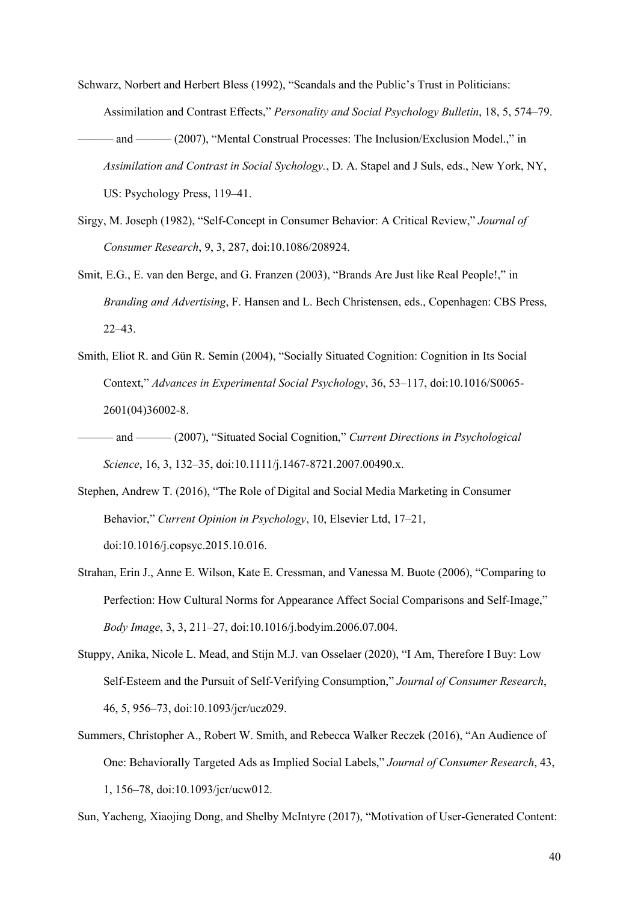- Schwarz, Norbert and Herbert Bless (1992), "Scandals and the Public's Trust in Politicians: Assimilation and Contrast Effects," *Personality and Social Psychology Bulletin*, 18, 5, 574–79. ——— and ——— (2007), "Mental Construal Processes: The Inclusion/Exclusion Model.," in *Assimilation and Contrast in Social Sychology.*, D. A. Stapel and J Suls, eds., New York, NY, US: Psychology Press, 119–41.
- Sirgy, M. Joseph (1982), "Self-Concept in Consumer Behavior: A Critical Review," *Journal of Consumer Research*, 9, 3, 287, doi:10.1086/208924.
- Smit, E.G., E. van den Berge, and G. Franzen (2003), "Brands Are Just like Real People!," in *Branding and Advertising*, F. Hansen and L. Bech Christensen, eds., Copenhagen: CBS Press, 22–43.
- Smith, Eliot R. and Gün R. Semin (2004), "Socially Situated Cognition: Cognition in Its Social Context," *Advances in Experimental Social Psychology*, 36, 53–117, doi:10.1016/S0065- 2601(04)36002-8.
- and ——— (2007), "Situated Social Cognition," *Current Directions in Psychological Science*, 16, 3, 132–35, doi:10.1111/j.1467-8721.2007.00490.x.
- Stephen, Andrew T. (2016), "The Role of Digital and Social Media Marketing in Consumer Behavior," *Current Opinion in Psychology*, 10, Elsevier Ltd, 17–21, doi:10.1016/j.copsyc.2015.10.016.
- Strahan, Erin J., Anne E. Wilson, Kate E. Cressman, and Vanessa M. Buote (2006), "Comparing to Perfection: How Cultural Norms for Appearance Affect Social Comparisons and Self-Image," *Body Image*, 3, 3, 211–27, doi:10.1016/j.bodyim.2006.07.004.
- Stuppy, Anika, Nicole L. Mead, and Stijn M.J. van Osselaer (2020), "I Am, Therefore I Buy: Low Self-Esteem and the Pursuit of Self-Verifying Consumption," *Journal of Consumer Research*, 46, 5, 956–73, doi:10.1093/jcr/ucz029.
- Summers, Christopher A., Robert W. Smith, and Rebecca Walker Reczek (2016), "An Audience of One: Behaviorally Targeted Ads as Implied Social Labels," *Journal of Consumer Research*, 43, 1, 156–78, doi:10.1093/jcr/ucw012.

Sun, Yacheng, Xiaojing Dong, and Shelby McIntyre (2017), "Motivation of User-Generated Content: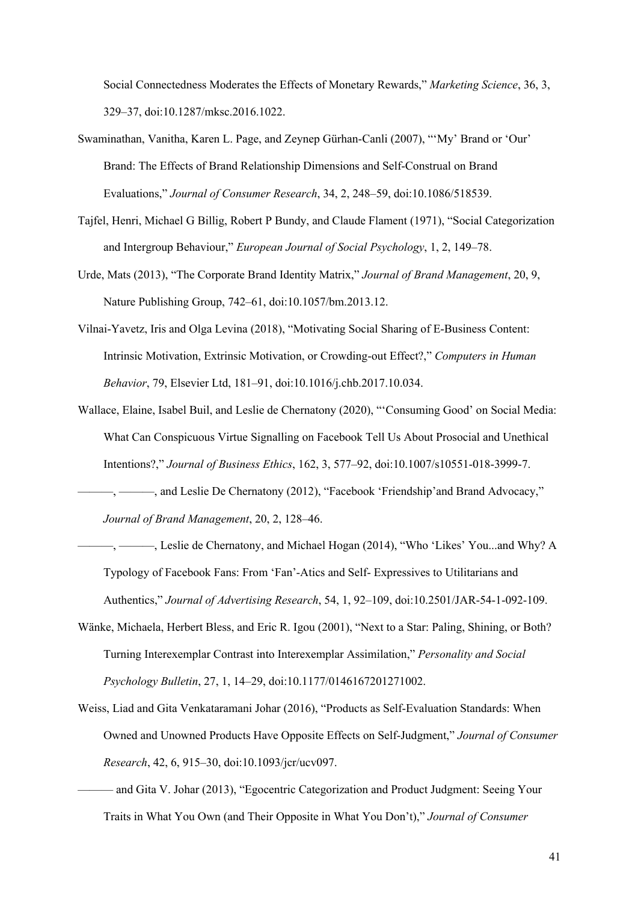Social Connectedness Moderates the Effects of Monetary Rewards," *Marketing Science*, 36, 3, 329–37, doi:10.1287/mksc.2016.1022.

- Swaminathan, Vanitha, Karen L. Page, and Zeynep Gürhan-Canli (2007), "'My' Brand or 'Our' Brand: The Effects of Brand Relationship Dimensions and Self-Construal on Brand Evaluations," *Journal of Consumer Research*, 34, 2, 248–59, doi:10.1086/518539.
- Tajfel, Henri, Michael G Billig, Robert P Bundy, and Claude Flament (1971), "Social Categorization and Intergroup Behaviour," *European Journal of Social Psychology*, 1, 2, 149–78.
- Urde, Mats (2013), "The Corporate Brand Identity Matrix," *Journal of Brand Management*, 20, 9, Nature Publishing Group, 742–61, doi:10.1057/bm.2013.12.
- Vilnai-Yavetz, Iris and Olga Levina (2018), "Motivating Social Sharing of E-Business Content: Intrinsic Motivation, Extrinsic Motivation, or Crowding-out Effect?," *Computers in Human Behavior*, 79, Elsevier Ltd, 181–91, doi:10.1016/j.chb.2017.10.034.
- Wallace, Elaine, Isabel Buil, and Leslie de Chernatony (2020), "'Consuming Good' on Social Media: What Can Conspicuous Virtue Signalling on Facebook Tell Us About Prosocial and Unethical Intentions?," *Journal of Business Ethics*, 162, 3, 577–92, doi:10.1007/s10551-018-3999-7.

-, ——, and Leslie De Chernatony (2012), "Facebook 'Friendship' and Brand Advocacy," *Journal of Brand Management*, 20, 2, 128–46.

- —, ———, Leslie de Chernatony, and Michael Hogan (2014), "Who 'Likes' You...and Why? A Typology of Facebook Fans: From 'Fan'-Atics and Self- Expressives to Utilitarians and Authentics," *Journal of Advertising Research*, 54, 1, 92–109, doi:10.2501/JAR-54-1-092-109.
- Wänke, Michaela, Herbert Bless, and Eric R. Igou (2001), "Next to a Star: Paling, Shining, or Both? Turning Interexemplar Contrast into Interexemplar Assimilation," *Personality and Social Psychology Bulletin*, 27, 1, 14–29, doi:10.1177/0146167201271002.
- Weiss, Liad and Gita Venkataramani Johar (2016), "Products as Self-Evaluation Standards: When Owned and Unowned Products Have Opposite Effects on Self-Judgment," *Journal of Consumer Research*, 42, 6, 915–30, doi:10.1093/jcr/ucv097.
	- ——— and Gita V. Johar (2013), "Egocentric Categorization and Product Judgment: Seeing Your Traits in What You Own (and Their Opposite in What You Don't)," *Journal of Consumer*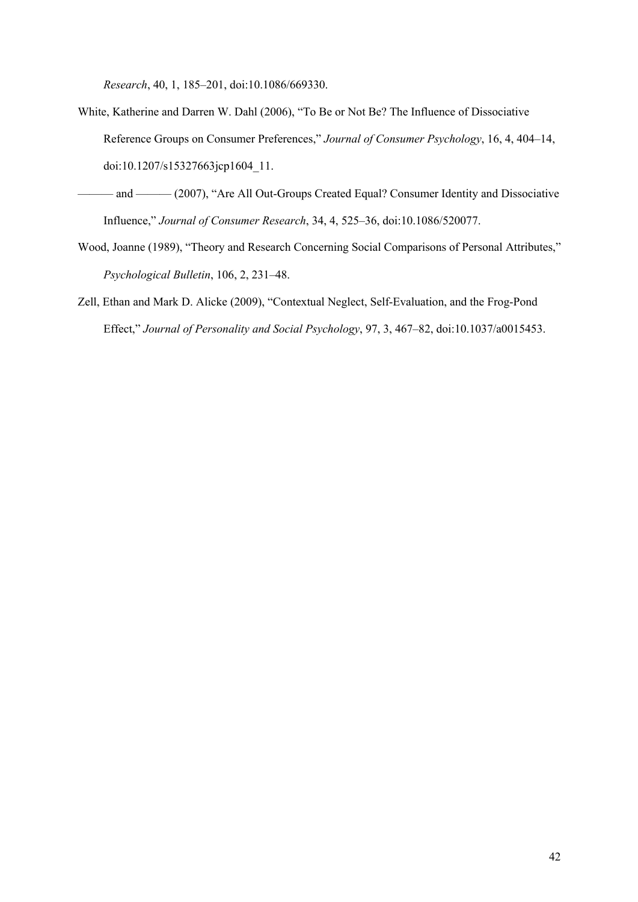*Research*, 40, 1, 185–201, doi:10.1086/669330.

- White, Katherine and Darren W. Dahl (2006), "To Be or Not Be? The Influence of Dissociative Reference Groups on Consumer Preferences," *Journal of Consumer Psychology*, 16, 4, 404–14, doi:10.1207/s15327663jcp1604\_11.
- ——— and ——— (2007), "Are All Out-Groups Created Equal? Consumer Identity and Dissociative Influence," *Journal of Consumer Research*, 34, 4, 525–36, doi:10.1086/520077.
- Wood, Joanne (1989), "Theory and Research Concerning Social Comparisons of Personal Attributes," *Psychological Bulletin*, 106, 2, 231–48.
- Zell, Ethan and Mark D. Alicke (2009), "Contextual Neglect, Self-Evaluation, and the Frog-Pond Effect," *Journal of Personality and Social Psychology*, 97, 3, 467–82, doi:10.1037/a0015453.